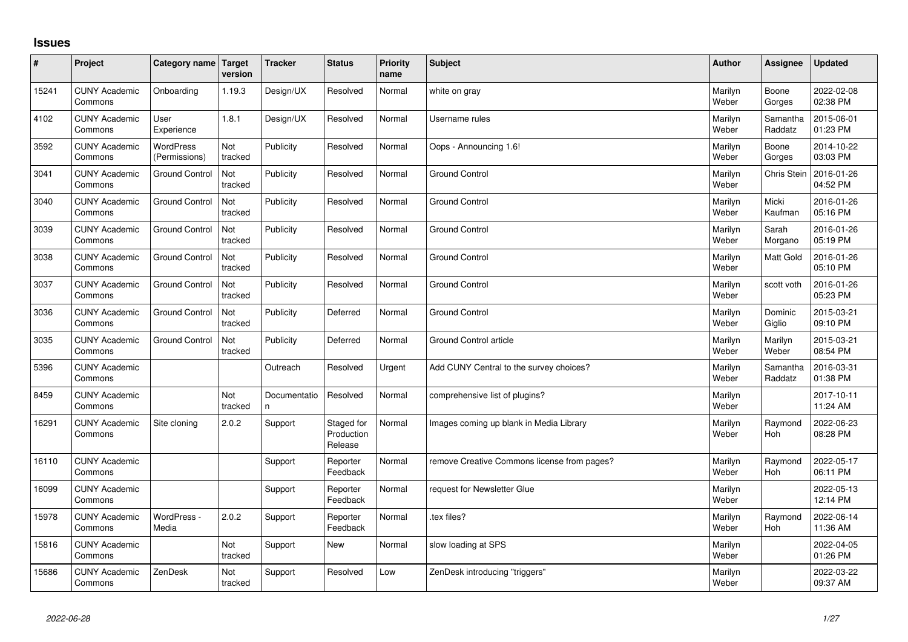## **Issues**

| #     | Project                         | Category name                     | <b>Target</b><br>version | <b>Tracker</b>     | <b>Status</b>                       | <b>Priority</b><br>name | <b>Subject</b>                              | <b>Author</b>    | Assignee            | <b>Updated</b>         |
|-------|---------------------------------|-----------------------------------|--------------------------|--------------------|-------------------------------------|-------------------------|---------------------------------------------|------------------|---------------------|------------------------|
| 15241 | <b>CUNY Academic</b><br>Commons | Onboarding                        | 1.19.3                   | Design/UX          | Resolved                            | Normal                  | white on gray                               | Marilyn<br>Weber | Boone<br>Gorges     | 2022-02-08<br>02:38 PM |
| 4102  | <b>CUNY Academic</b><br>Commons | User<br>Experience                | 1.8.1                    | Design/UX          | Resolved                            | Normal                  | Username rules                              | Marilyn<br>Weber | Samantha<br>Raddatz | 2015-06-01<br>01:23 PM |
| 3592  | <b>CUNY Academic</b><br>Commons | <b>WordPress</b><br>(Permissions) | Not<br>tracked           | Publicity          | Resolved                            | Normal                  | Oops - Announcing 1.6!                      | Marilyn<br>Weber | Boone<br>Gorges     | 2014-10-22<br>03:03 PM |
| 3041  | <b>CUNY Academic</b><br>Commons | <b>Ground Control</b>             | Not<br>tracked           | Publicity          | Resolved                            | Normal                  | <b>Ground Control</b>                       | Marilyn<br>Weber | Chris Stein         | 2016-01-26<br>04:52 PM |
| 3040  | <b>CUNY Academic</b><br>Commons | <b>Ground Control</b>             | Not<br>tracked           | Publicity          | Resolved                            | Normal                  | <b>Ground Control</b>                       | Marilyn<br>Weber | Micki<br>Kaufman    | 2016-01-26<br>05:16 PM |
| 3039  | <b>CUNY Academic</b><br>Commons | <b>Ground Control</b>             | Not<br>tracked           | Publicity          | Resolved                            | Normal                  | <b>Ground Control</b>                       | Marilyn<br>Weber | Sarah<br>Morgano    | 2016-01-26<br>05:19 PM |
| 3038  | <b>CUNY Academic</b><br>Commons | <b>Ground Control</b>             | Not<br>tracked           | Publicity          | Resolved                            | Normal                  | <b>Ground Control</b>                       | Marilyn<br>Weber | Matt Gold           | 2016-01-26<br>05:10 PM |
| 3037  | <b>CUNY Academic</b><br>Commons | <b>Ground Control</b>             | Not<br>tracked           | Publicity          | Resolved                            | Normal                  | <b>Ground Control</b>                       | Marilyn<br>Weber | scott voth          | 2016-01-26<br>05:23 PM |
| 3036  | <b>CUNY Academic</b><br>Commons | <b>Ground Control</b>             | Not<br>tracked           | Publicity          | Deferred                            | Normal                  | <b>Ground Control</b>                       | Marilyn<br>Weber | Dominic<br>Giglio   | 2015-03-21<br>09:10 PM |
| 3035  | <b>CUNY Academic</b><br>Commons | <b>Ground Control</b>             | Not<br>tracked           | Publicity          | Deferred                            | Normal                  | <b>Ground Control article</b>               | Marilyn<br>Weber | Marilyn<br>Weber    | 2015-03-21<br>08:54 PM |
| 5396  | <b>CUNY Academic</b><br>Commons |                                   |                          | Outreach           | Resolved                            | Urgent                  | Add CUNY Central to the survey choices?     | Marilyn<br>Weber | Samantha<br>Raddatz | 2016-03-31<br>01:38 PM |
| 8459  | <b>CUNY Academic</b><br>Commons |                                   | Not<br>tracked           | Documentatio<br>n. | Resolved                            | Normal                  | comprehensive list of plugins?              | Marilyn<br>Weber |                     | 2017-10-11<br>11:24 AM |
| 16291 | <b>CUNY Academic</b><br>Commons | Site cloning                      | 2.0.2                    | Support            | Staged for<br>Production<br>Release | Normal                  | Images coming up blank in Media Library     | Marilyn<br>Weber | Raymond<br>Hoh      | 2022-06-23<br>08:28 PM |
| 16110 | <b>CUNY Academic</b><br>Commons |                                   |                          | Support            | Reporter<br>Feedback                | Normal                  | remove Creative Commons license from pages? | Marilyn<br>Weber | Raymond<br>Hoh      | 2022-05-17<br>06:11 PM |
| 16099 | <b>CUNY Academic</b><br>Commons |                                   |                          | Support            | Reporter<br>Feedback                | Normal                  | request for Newsletter Glue                 | Marilyn<br>Weber |                     | 2022-05-13<br>12:14 PM |
| 15978 | <b>CUNY Academic</b><br>Commons | WordPress -<br>Media              | 2.0.2                    | Support            | Reporter<br>Feedback                | Normal                  | tex files?                                  | Marilyn<br>Weber | Raymond<br>Hoh      | 2022-06-14<br>11:36 AM |
| 15816 | <b>CUNY Academic</b><br>Commons |                                   | Not<br>tracked           | Support            | <b>New</b>                          | Normal                  | slow loading at SPS                         | Marilyn<br>Weber |                     | 2022-04-05<br>01:26 PM |
| 15686 | <b>CUNY Academic</b><br>Commons | ZenDesk                           | Not<br>tracked           | Support            | Resolved                            | Low                     | ZenDesk introducing "triggers"              | Marilyn<br>Weber |                     | 2022-03-22<br>09:37 AM |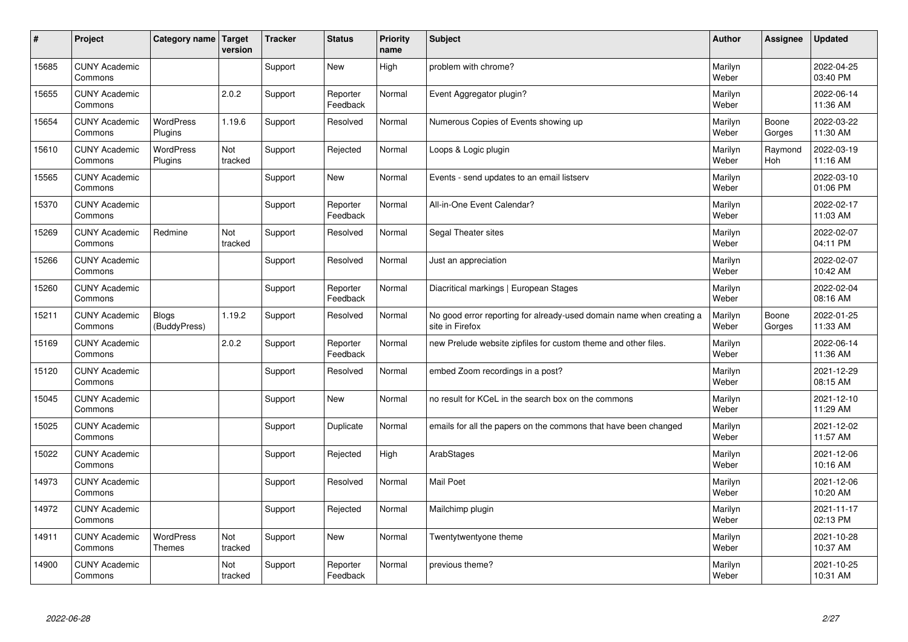| #     | Project                         | Category name Target              | version        | <b>Tracker</b> | <b>Status</b>        | <b>Priority</b><br>name | <b>Subject</b>                                                                          | <b>Author</b>    | Assignee        | <b>Updated</b>         |
|-------|---------------------------------|-----------------------------------|----------------|----------------|----------------------|-------------------------|-----------------------------------------------------------------------------------------|------------------|-----------------|------------------------|
| 15685 | <b>CUNY Academic</b><br>Commons |                                   |                | Support        | <b>New</b>           | High                    | problem with chrome?                                                                    | Marilyn<br>Weber |                 | 2022-04-25<br>03:40 PM |
| 15655 | <b>CUNY Academic</b><br>Commons |                                   | 2.0.2          | Support        | Reporter<br>Feedback | Normal                  | Event Aggregator plugin?                                                                | Marilyn<br>Weber |                 | 2022-06-14<br>11:36 AM |
| 15654 | <b>CUNY Academic</b><br>Commons | <b>WordPress</b><br>Plugins       | 1.19.6         | Support        | Resolved             | Normal                  | Numerous Copies of Events showing up                                                    | Marilyn<br>Weber | Boone<br>Gorges | 2022-03-22<br>11:30 AM |
| 15610 | <b>CUNY Academic</b><br>Commons | <b>WordPress</b><br>Plugins       | Not<br>tracked | Support        | Rejected             | Normal                  | Loops & Logic plugin                                                                    | Marilyn<br>Weber | Raymond<br>Hoh  | 2022-03-19<br>11:16 AM |
| 15565 | <b>CUNY Academic</b><br>Commons |                                   |                | Support        | <b>New</b>           | Normal                  | Events - send updates to an email listserv                                              | Marilyn<br>Weber |                 | 2022-03-10<br>01:06 PM |
| 15370 | <b>CUNY Academic</b><br>Commons |                                   |                | Support        | Reporter<br>Feedback | Normal                  | All-in-One Event Calendar?                                                              | Marilyn<br>Weber |                 | 2022-02-17<br>11:03 AM |
| 15269 | <b>CUNY Academic</b><br>Commons | Redmine                           | Not<br>tracked | Support        | Resolved             | Normal                  | Segal Theater sites                                                                     | Marilyn<br>Weber |                 | 2022-02-07<br>04:11 PM |
| 15266 | <b>CUNY Academic</b><br>Commons |                                   |                | Support        | Resolved             | Normal                  | Just an appreciation                                                                    | Marilyn<br>Weber |                 | 2022-02-07<br>10:42 AM |
| 15260 | <b>CUNY Academic</b><br>Commons |                                   |                | Support        | Reporter<br>Feedback | Normal                  | Diacritical markings   European Stages                                                  | Marilyn<br>Weber |                 | 2022-02-04<br>08:16 AM |
| 15211 | <b>CUNY Academic</b><br>Commons | <b>Blogs</b><br>(BuddyPress)      | 1.19.2         | Support        | Resolved             | Normal                  | No good error reporting for already-used domain name when creating a<br>site in Firefox | Marilyn<br>Weber | Boone<br>Gorges | 2022-01-25<br>11:33 AM |
| 15169 | <b>CUNY Academic</b><br>Commons |                                   | 2.0.2          | Support        | Reporter<br>Feedback | Normal                  | new Prelude website zipfiles for custom theme and other files.                          | Marilyn<br>Weber |                 | 2022-06-14<br>11:36 AM |
| 15120 | <b>CUNY Academic</b><br>Commons |                                   |                | Support        | Resolved             | Normal                  | embed Zoom recordings in a post?                                                        | Marilyn<br>Weber |                 | 2021-12-29<br>08:15 AM |
| 15045 | <b>CUNY Academic</b><br>Commons |                                   |                | Support        | <b>New</b>           | Normal                  | no result for KCeL in the search box on the commons                                     | Marilyn<br>Weber |                 | 2021-12-10<br>11:29 AM |
| 15025 | <b>CUNY Academic</b><br>Commons |                                   |                | Support        | Duplicate            | Normal                  | emails for all the papers on the commons that have been changed                         | Marilyn<br>Weber |                 | 2021-12-02<br>11:57 AM |
| 15022 | <b>CUNY Academic</b><br>Commons |                                   |                | Support        | Rejected             | High                    | ArabStages                                                                              | Marilyn<br>Weber |                 | 2021-12-06<br>10:16 AM |
| 14973 | <b>CUNY Academic</b><br>Commons |                                   |                | Support        | Resolved             | Normal                  | <b>Mail Poet</b>                                                                        | Marilyn<br>Weber |                 | 2021-12-06<br>10:20 AM |
| 14972 | <b>CUNY Academic</b><br>Commons |                                   |                | Support        | Rejected             | Normal                  | Mailchimp plugin                                                                        | Marilyn<br>Weber |                 | 2021-11-17<br>02:13 PM |
| 14911 | <b>CUNY Academic</b><br>Commons | <b>WordPress</b><br><b>Themes</b> | Not<br>tracked | Support        | <b>New</b>           | Normal                  | Twentytwentyone theme                                                                   | Marilyn<br>Weber |                 | 2021-10-28<br>10:37 AM |
| 14900 | <b>CUNY Academic</b><br>Commons |                                   | Not<br>tracked | Support        | Reporter<br>Feedback | Normal                  | previous theme?                                                                         | Marilyn<br>Weber |                 | 2021-10-25<br>10:31 AM |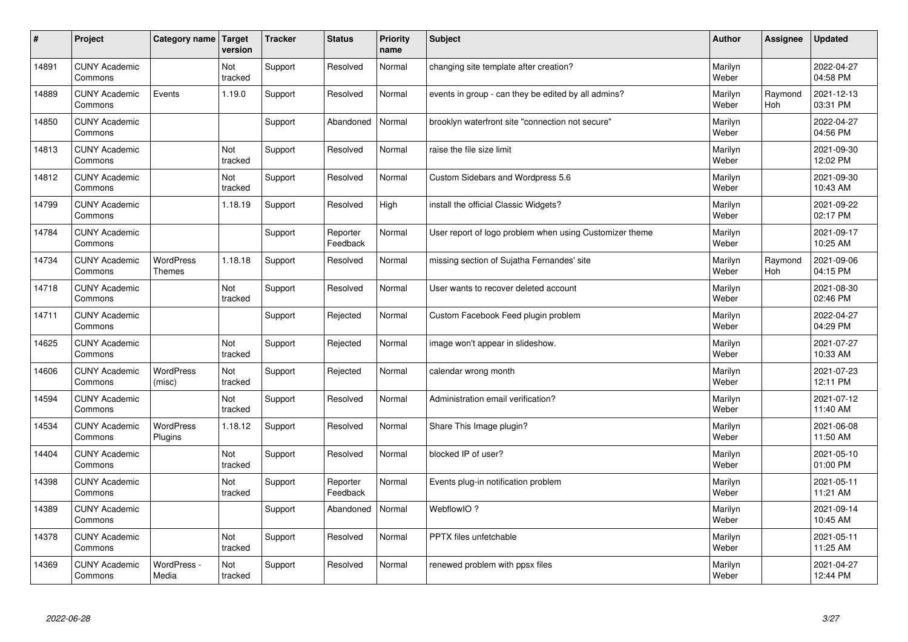| $\sharp$ | Project                         | Category name                     | Target<br>version | <b>Tracker</b> | <b>Status</b>        | <b>Priority</b><br>name | <b>Subject</b>                                          | <b>Author</b>    | Assignee       | <b>Updated</b>         |
|----------|---------------------------------|-----------------------------------|-------------------|----------------|----------------------|-------------------------|---------------------------------------------------------|------------------|----------------|------------------------|
| 14891    | <b>CUNY Academic</b><br>Commons |                                   | Not<br>tracked    | Support        | Resolved             | Normal                  | changing site template after creation?                  | Marilyn<br>Weber |                | 2022-04-27<br>04:58 PM |
| 14889    | <b>CUNY Academic</b><br>Commons | Events                            | 1.19.0            | Support        | Resolved             | Normal                  | events in group - can they be edited by all admins?     | Marilyn<br>Weber | Raymond<br>Hoh | 2021-12-13<br>03:31 PM |
| 14850    | <b>CUNY Academic</b><br>Commons |                                   |                   | Support        | Abandoned            | Normal                  | brooklyn waterfront site "connection not secure"        | Marilyn<br>Weber |                | 2022-04-27<br>04:56 PM |
| 14813    | <b>CUNY Academic</b><br>Commons |                                   | Not<br>tracked    | Support        | Resolved             | Normal                  | raise the file size limit                               | Marilyn<br>Weber |                | 2021-09-30<br>12:02 PM |
| 14812    | <b>CUNY Academic</b><br>Commons |                                   | Not<br>tracked    | Support        | Resolved             | Normal                  | Custom Sidebars and Wordpress 5.6                       | Marilyn<br>Weber |                | 2021-09-30<br>10:43 AM |
| 14799    | <b>CUNY Academic</b><br>Commons |                                   | 1.18.19           | Support        | Resolved             | High                    | install the official Classic Widgets?                   | Marilyn<br>Weber |                | 2021-09-22<br>02:17 PM |
| 14784    | <b>CUNY Academic</b><br>Commons |                                   |                   | Support        | Reporter<br>Feedback | Normal                  | User report of logo problem when using Customizer theme | Marilyn<br>Weber |                | 2021-09-17<br>10:25 AM |
| 14734    | <b>CUNY Academic</b><br>Commons | <b>WordPress</b><br><b>Themes</b> | 1.18.18           | Support        | Resolved             | Normal                  | missing section of Sujatha Fernandes' site              | Marilyn<br>Weber | Raymond<br>Hoh | 2021-09-06<br>04:15 PM |
| 14718    | <b>CUNY Academic</b><br>Commons |                                   | Not<br>tracked    | Support        | Resolved             | Normal                  | User wants to recover deleted account                   | Marilyn<br>Weber |                | 2021-08-30<br>02:46 PM |
| 14711    | <b>CUNY Academic</b><br>Commons |                                   |                   | Support        | Rejected             | Normal                  | Custom Facebook Feed plugin problem                     | Marilyn<br>Weber |                | 2022-04-27<br>04:29 PM |
| 14625    | <b>CUNY Academic</b><br>Commons |                                   | Not<br>tracked    | Support        | Rejected             | Normal                  | image won't appear in slideshow.                        | Marilyn<br>Weber |                | 2021-07-27<br>10:33 AM |
| 14606    | <b>CUNY Academic</b><br>Commons | <b>WordPress</b><br>(misc)        | Not<br>tracked    | Support        | Rejected             | Normal                  | calendar wrong month                                    | Marilyn<br>Weber |                | 2021-07-23<br>12:11 PM |
| 14594    | <b>CUNY Academic</b><br>Commons |                                   | Not<br>tracked    | Support        | Resolved             | Normal                  | Administration email verification?                      | Marilyn<br>Weber |                | 2021-07-12<br>11:40 AM |
| 14534    | <b>CUNY Academic</b><br>Commons | <b>WordPress</b><br>Plugins       | 1.18.12           | Support        | Resolved             | Normal                  | Share This Image plugin?                                | Marilyn<br>Weber |                | 2021-06-08<br>11:50 AM |
| 14404    | <b>CUNY Academic</b><br>Commons |                                   | Not<br>tracked    | Support        | Resolved             | Normal                  | blocked IP of user?                                     | Marilyn<br>Weber |                | 2021-05-10<br>01:00 PM |
| 14398    | <b>CUNY Academic</b><br>Commons |                                   | Not<br>tracked    | Support        | Reporter<br>Feedback | Normal                  | Events plug-in notification problem                     | Marilyn<br>Weber |                | 2021-05-11<br>11:21 AM |
| 14389    | <b>CUNY Academic</b><br>Commons |                                   |                   | Support        | Abandoned            | Normal                  | WebflowIO?                                              | Marilyn<br>Weber |                | 2021-09-14<br>10:45 AM |
| 14378    | <b>CUNY Academic</b><br>Commons |                                   | Not<br>tracked    | Support        | Resolved             | Normal                  | <b>PPTX</b> files unfetchable                           | Marilyn<br>Weber |                | 2021-05-11<br>11:25 AM |
| 14369    | <b>CUNY Academic</b><br>Commons | WordPress -<br>Media              | Not<br>tracked    | Support        | Resolved             | Normal                  | renewed problem with ppsx files                         | Marilyn<br>Weber |                | 2021-04-27<br>12:44 PM |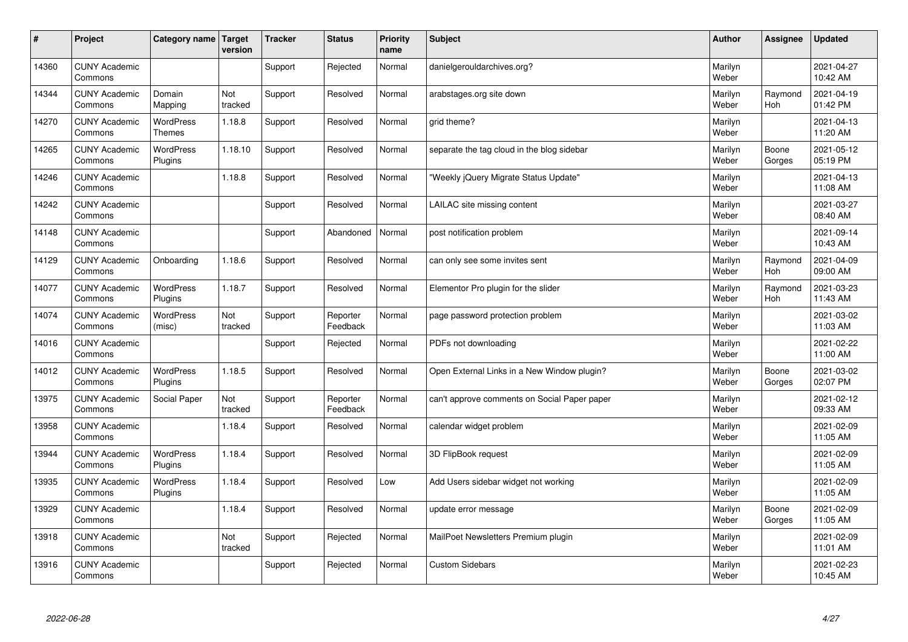| #     | Project                         | Category name   Target            | version        | <b>Tracker</b> | <b>Status</b>        | <b>Priority</b><br>name | <b>Subject</b>                               | <b>Author</b>    | Assignee              | <b>Updated</b>         |
|-------|---------------------------------|-----------------------------------|----------------|----------------|----------------------|-------------------------|----------------------------------------------|------------------|-----------------------|------------------------|
| 14360 | <b>CUNY Academic</b><br>Commons |                                   |                | Support        | Rejected             | Normal                  | danielgerouldarchives.org?                   | Marilyn<br>Weber |                       | 2021-04-27<br>10:42 AM |
| 14344 | <b>CUNY Academic</b><br>Commons | Domain<br>Mapping                 | Not<br>tracked | Support        | Resolved             | Normal                  | arabstages.org site down                     | Marilyn<br>Weber | Raymond<br><b>Hoh</b> | 2021-04-19<br>01:42 PM |
| 14270 | <b>CUNY Academic</b><br>Commons | <b>WordPress</b><br><b>Themes</b> | 1.18.8         | Support        | Resolved             | Normal                  | grid theme?                                  | Marilyn<br>Weber |                       | 2021-04-13<br>11:20 AM |
| 14265 | <b>CUNY Academic</b><br>Commons | <b>WordPress</b><br>Plugins       | 1.18.10        | Support        | Resolved             | Normal                  | separate the tag cloud in the blog sidebar   | Marilyn<br>Weber | Boone<br>Gorges       | 2021-05-12<br>05:19 PM |
| 14246 | <b>CUNY Academic</b><br>Commons |                                   | 1.18.8         | Support        | Resolved             | Normal                  | 'Weekly jQuery Migrate Status Update"        | Marilyn<br>Weber |                       | 2021-04-13<br>11:08 AM |
| 14242 | <b>CUNY Academic</b><br>Commons |                                   |                | Support        | Resolved             | Normal                  | LAILAC site missing content                  | Marilyn<br>Weber |                       | 2021-03-27<br>08:40 AM |
| 14148 | <b>CUNY Academic</b><br>Commons |                                   |                | Support        | Abandoned            | Normal                  | post notification problem                    | Marilyn<br>Weber |                       | 2021-09-14<br>10:43 AM |
| 14129 | <b>CUNY Academic</b><br>Commons | Onboarding                        | 1.18.6         | Support        | Resolved             | Normal                  | can only see some invites sent               | Marilyn<br>Weber | Raymond<br><b>Hoh</b> | 2021-04-09<br>09:00 AM |
| 14077 | <b>CUNY Academic</b><br>Commons | <b>WordPress</b><br>Plugins       | 1.18.7         | Support        | Resolved             | Normal                  | Elementor Pro plugin for the slider          | Marilyn<br>Weber | Raymond<br>Hoh        | 2021-03-23<br>11:43 AM |
| 14074 | <b>CUNY Academic</b><br>Commons | <b>WordPress</b><br>(misc)        | Not<br>tracked | Support        | Reporter<br>Feedback | Normal                  | page password protection problem             | Marilyn<br>Weber |                       | 2021-03-02<br>11:03 AM |
| 14016 | <b>CUNY Academic</b><br>Commons |                                   |                | Support        | Rejected             | Normal                  | PDFs not downloading                         | Marilyn<br>Weber |                       | 2021-02-22<br>11:00 AM |
| 14012 | <b>CUNY Academic</b><br>Commons | WordPress<br>Plugins              | 1.18.5         | Support        | Resolved             | Normal                  | Open External Links in a New Window plugin?  | Marilyn<br>Weber | Boone<br>Gorges       | 2021-03-02<br>02:07 PM |
| 13975 | <b>CUNY Academic</b><br>Commons | Social Paper                      | Not<br>tracked | Support        | Reporter<br>Feedback | Normal                  | can't approve comments on Social Paper paper | Marilyn<br>Weber |                       | 2021-02-12<br>09:33 AM |
| 13958 | <b>CUNY Academic</b><br>Commons |                                   | 1.18.4         | Support        | Resolved             | Normal                  | calendar widget problem                      | Marilyn<br>Weber |                       | 2021-02-09<br>11:05 AM |
| 13944 | <b>CUNY Academic</b><br>Commons | WordPress<br>Plugins              | 1.18.4         | Support        | Resolved             | Normal                  | 3D FlipBook request                          | Marilyn<br>Weber |                       | 2021-02-09<br>11:05 AM |
| 13935 | <b>CUNY Academic</b><br>Commons | <b>WordPress</b><br>Plugins       | 1.18.4         | Support        | Resolved             | Low                     | Add Users sidebar widget not working         | Marilyn<br>Weber |                       | 2021-02-09<br>11:05 AM |
| 13929 | <b>CUNY Academic</b><br>Commons |                                   | 1.18.4         | Support        | Resolved             | Normal                  | update error message                         | Marilyn<br>Weber | Boone<br>Gorges       | 2021-02-09<br>11:05 AM |
| 13918 | <b>CUNY Academic</b><br>Commons |                                   | Not<br>tracked | Support        | Rejected             | Normal                  | MailPoet Newsletters Premium plugin          | Marilyn<br>Weber |                       | 2021-02-09<br>11:01 AM |
| 13916 | <b>CUNY Academic</b><br>Commons |                                   |                | Support        | Rejected             | Normal                  | <b>Custom Sidebars</b>                       | Marilyn<br>Weber |                       | 2021-02-23<br>10:45 AM |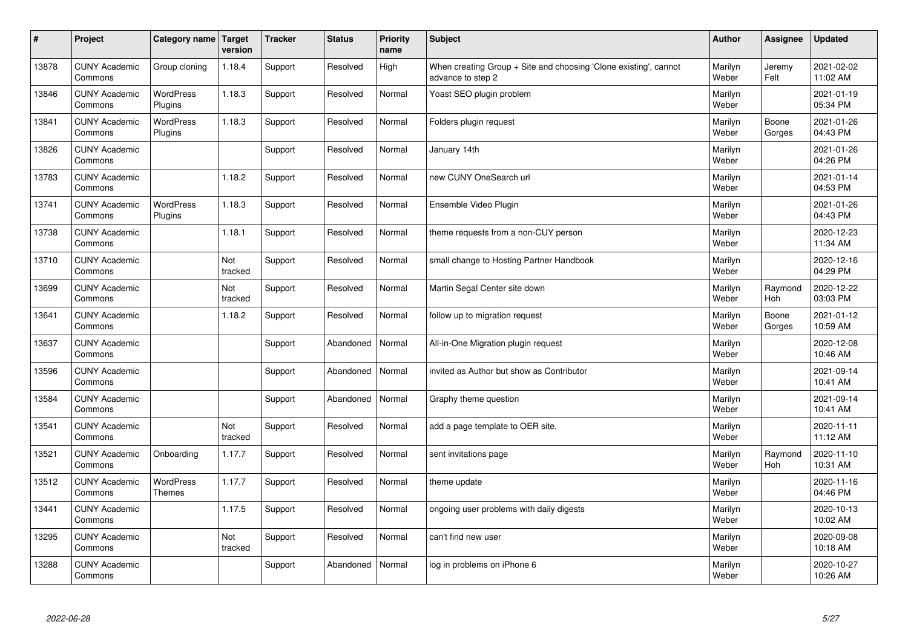| $\vert$ # | Project                         | Category name   Target      | version        | <b>Tracker</b> | <b>Status</b> | Priority<br>name | <b>Subject</b>                                                                        | <b>Author</b>    | Assignee        | <b>Updated</b>         |
|-----------|---------------------------------|-----------------------------|----------------|----------------|---------------|------------------|---------------------------------------------------------------------------------------|------------------|-----------------|------------------------|
| 13878     | <b>CUNY Academic</b><br>Commons | Group cloning               | 1.18.4         | Support        | Resolved      | High             | When creating Group + Site and choosing 'Clone existing', cannot<br>advance to step 2 | Marilyn<br>Weber | Jeremy<br>Felt  | 2021-02-02<br>11:02 AM |
| 13846     | <b>CUNY Academic</b><br>Commons | <b>WordPress</b><br>Plugins | 1.18.3         | Support        | Resolved      | Normal           | Yoast SEO plugin problem                                                              | Marilyn<br>Weber |                 | 2021-01-19<br>05:34 PM |
| 13841     | <b>CUNY Academic</b><br>Commons | <b>WordPress</b><br>Plugins | 1.18.3         | Support        | Resolved      | Normal           | Folders plugin request                                                                | Marilyn<br>Weber | Boone<br>Gorges | 2021-01-26<br>04:43 PM |
| 13826     | <b>CUNY Academic</b><br>Commons |                             |                | Support        | Resolved      | Normal           | January 14th                                                                          | Marilyn<br>Weber |                 | 2021-01-26<br>04:26 PM |
| 13783     | <b>CUNY Academic</b><br>Commons |                             | 1.18.2         | Support        | Resolved      | Normal           | new CUNY OneSearch url                                                                | Marilyn<br>Weber |                 | 2021-01-14<br>04:53 PM |
| 13741     | <b>CUNY Academic</b><br>Commons | <b>WordPress</b><br>Plugins | 1.18.3         | Support        | Resolved      | Normal           | Ensemble Video Plugin                                                                 | Marilyn<br>Weber |                 | 2021-01-26<br>04:43 PM |
| 13738     | <b>CUNY Academic</b><br>Commons |                             | 1.18.1         | Support        | Resolved      | Normal           | theme requests from a non-CUY person                                                  | Marilyn<br>Weber |                 | 2020-12-23<br>11:34 AM |
| 13710     | <b>CUNY Academic</b><br>Commons |                             | Not<br>tracked | Support        | Resolved      | Normal           | small change to Hosting Partner Handbook                                              | Marilyn<br>Weber |                 | 2020-12-16<br>04:29 PM |
| 13699     | <b>CUNY Academic</b><br>Commons |                             | Not<br>tracked | Support        | Resolved      | Normal           | Martin Segal Center site down                                                         | Marilyn<br>Weber | Raymond<br>Hoh  | 2020-12-22<br>03:03 PM |
| 13641     | <b>CUNY Academic</b><br>Commons |                             | 1.18.2         | Support        | Resolved      | Normal           | follow up to migration request                                                        | Marilyn<br>Weber | Boone<br>Gorges | 2021-01-12<br>10:59 AM |
| 13637     | <b>CUNY Academic</b><br>Commons |                             |                | Support        | Abandoned     | Normal           | All-in-One Migration plugin request                                                   | Marilyn<br>Weber |                 | 2020-12-08<br>10:46 AM |
| 13596     | <b>CUNY Academic</b><br>Commons |                             |                | Support        | Abandoned     | Normal           | invited as Author but show as Contributor                                             | Marilyn<br>Weber |                 | 2021-09-14<br>10:41 AM |
| 13584     | <b>CUNY Academic</b><br>Commons |                             |                | Support        | Abandoned     | Normal           | Graphy theme question                                                                 | Marilyn<br>Weber |                 | 2021-09-14<br>10:41 AM |
| 13541     | <b>CUNY Academic</b><br>Commons |                             | Not<br>tracked | Support        | Resolved      | Normal           | add a page template to OER site.                                                      | Marilyn<br>Weber |                 | 2020-11-11<br>11:12 AM |
| 13521     | <b>CUNY Academic</b><br>Commons | Onboarding                  | 1.17.7         | Support        | Resolved      | Normal           | sent invitations page                                                                 | Marilyn<br>Weber | Raymond<br>Hoh  | 2020-11-10<br>10:31 AM |
| 13512     | <b>CUNY Academic</b><br>Commons | WordPress<br><b>Themes</b>  | 1.17.7         | Support        | Resolved      | Normal           | theme update                                                                          | Marilyn<br>Weber |                 | 2020-11-16<br>04:46 PM |
| 13441     | <b>CUNY Academic</b><br>Commons |                             | 1.17.5         | Support        | Resolved      | Normal           | ongoing user problems with daily digests                                              | Marilyn<br>Weber |                 | 2020-10-13<br>10:02 AM |
| 13295     | <b>CUNY Academic</b><br>Commons |                             | Not<br>tracked | Support        | Resolved      | Normal           | can't find new user                                                                   | Marilyn<br>Weber |                 | 2020-09-08<br>10:18 AM |
| 13288     | <b>CUNY Academic</b><br>Commons |                             |                | Support        | Abandoned     | Normal           | log in problems on iPhone 6                                                           | Marilyn<br>Weber |                 | 2020-10-27<br>10:26 AM |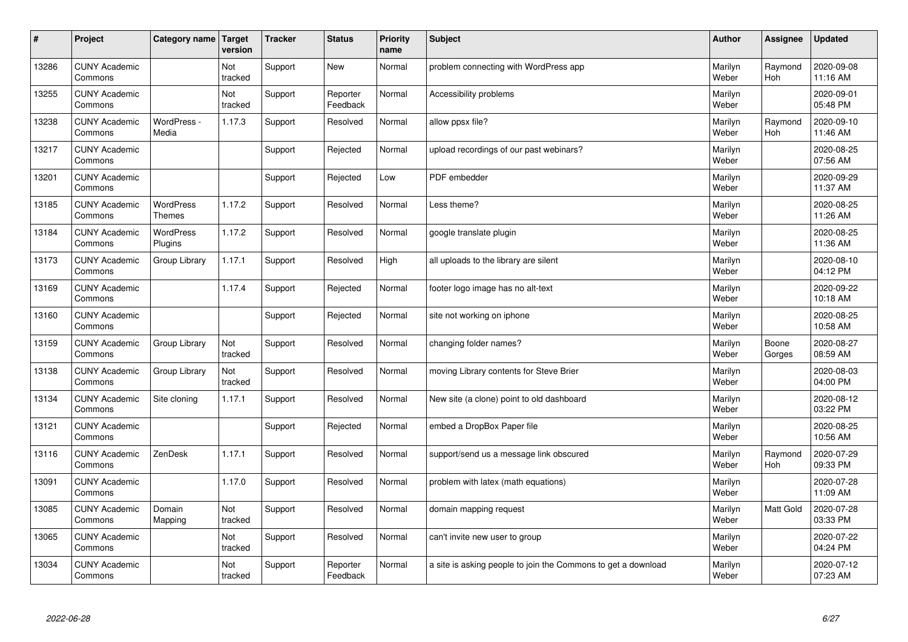| #     | Project                         | Category name                     | Target<br>version | <b>Tracker</b> | <b>Status</b>        | <b>Priority</b><br>name | <b>Subject</b>                                                | <b>Author</b>    | Assignee              | <b>Updated</b>         |
|-------|---------------------------------|-----------------------------------|-------------------|----------------|----------------------|-------------------------|---------------------------------------------------------------|------------------|-----------------------|------------------------|
| 13286 | <b>CUNY Academic</b><br>Commons |                                   | Not<br>tracked    | Support        | <b>New</b>           | Normal                  | problem connecting with WordPress app                         | Marilyn<br>Weber | Raymond<br><b>Hoh</b> | 2020-09-08<br>11:16 AM |
| 13255 | <b>CUNY Academic</b><br>Commons |                                   | Not<br>tracked    | Support        | Reporter<br>Feedback | Normal                  | Accessibility problems                                        | Marilyn<br>Weber |                       | 2020-09-01<br>05:48 PM |
| 13238 | <b>CUNY Academic</b><br>Commons | WordPress -<br>Media              | 1.17.3            | Support        | Resolved             | Normal                  | allow ppsx file?                                              | Marilyn<br>Weber | Raymond<br><b>Hoh</b> | 2020-09-10<br>11:46 AM |
| 13217 | <b>CUNY Academic</b><br>Commons |                                   |                   | Support        | Rejected             | Normal                  | upload recordings of our past webinars?                       | Marilyn<br>Weber |                       | 2020-08-25<br>07:56 AM |
| 13201 | <b>CUNY Academic</b><br>Commons |                                   |                   | Support        | Rejected             | Low                     | PDF embedder                                                  | Marilyn<br>Weber |                       | 2020-09-29<br>11:37 AM |
| 13185 | <b>CUNY Academic</b><br>Commons | <b>WordPress</b><br><b>Themes</b> | 1.17.2            | Support        | Resolved             | Normal                  | Less theme?                                                   | Marilyn<br>Weber |                       | 2020-08-25<br>11:26 AM |
| 13184 | <b>CUNY Academic</b><br>Commons | <b>WordPress</b><br>Plugins       | 1.17.2            | Support        | Resolved             | Normal                  | google translate plugin                                       | Marilyn<br>Weber |                       | 2020-08-25<br>11:36 AM |
| 13173 | <b>CUNY Academic</b><br>Commons | Group Library                     | 1.17.1            | Support        | Resolved             | High                    | all uploads to the library are silent                         | Marilyn<br>Weber |                       | 2020-08-10<br>04:12 PM |
| 13169 | <b>CUNY Academic</b><br>Commons |                                   | 1.17.4            | Support        | Rejected             | Normal                  | footer logo image has no alt-text                             | Marilyn<br>Weber |                       | 2020-09-22<br>10:18 AM |
| 13160 | <b>CUNY Academic</b><br>Commons |                                   |                   | Support        | Rejected             | Normal                  | site not working on iphone                                    | Marilyn<br>Weber |                       | 2020-08-25<br>10:58 AM |
| 13159 | <b>CUNY Academic</b><br>Commons | Group Library                     | Not<br>tracked    | Support        | Resolved             | Normal                  | changing folder names?                                        | Marilyn<br>Weber | Boone<br>Gorges       | 2020-08-27<br>08:59 AM |
| 13138 | <b>CUNY Academic</b><br>Commons | Group Library                     | Not<br>tracked    | Support        | Resolved             | Normal                  | moving Library contents for Steve Brier                       | Marilyn<br>Weber |                       | 2020-08-03<br>04:00 PM |
| 13134 | <b>CUNY Academic</b><br>Commons | Site cloning                      | 1.17.1            | Support        | Resolved             | Normal                  | New site (a clone) point to old dashboard                     | Marilyn<br>Weber |                       | 2020-08-12<br>03:22 PM |
| 13121 | <b>CUNY Academic</b><br>Commons |                                   |                   | Support        | Rejected             | Normal                  | embed a DropBox Paper file                                    | Marilyn<br>Weber |                       | 2020-08-25<br>10:56 AM |
| 13116 | <b>CUNY Academic</b><br>Commons | ZenDesk                           | 1.17.1            | Support        | Resolved             | Normal                  | support/send us a message link obscured                       | Marilyn<br>Weber | Raymond<br>Hoh        | 2020-07-29<br>09:33 PM |
| 13091 | <b>CUNY Academic</b><br>Commons |                                   | 1.17.0            | Support        | Resolved             | Normal                  | problem with latex (math equations)                           | Marilyn<br>Weber |                       | 2020-07-28<br>11:09 AM |
| 13085 | <b>CUNY Academic</b><br>Commons | Domain<br>Mapping                 | Not<br>tracked    | Support        | Resolved             | Normal                  | domain mapping request                                        | Marilyn<br>Weber | Matt Gold             | 2020-07-28<br>03:33 PM |
| 13065 | <b>CUNY Academic</b><br>Commons |                                   | Not<br>tracked    | Support        | Resolved             | Normal                  | can't invite new user to group                                | Marilyn<br>Weber |                       | 2020-07-22<br>04:24 PM |
| 13034 | <b>CUNY Academic</b><br>Commons |                                   | Not<br>tracked    | Support        | Reporter<br>Feedback | Normal                  | a site is asking people to join the Commons to get a download | Marilyn<br>Weber |                       | 2020-07-12<br>07:23 AM |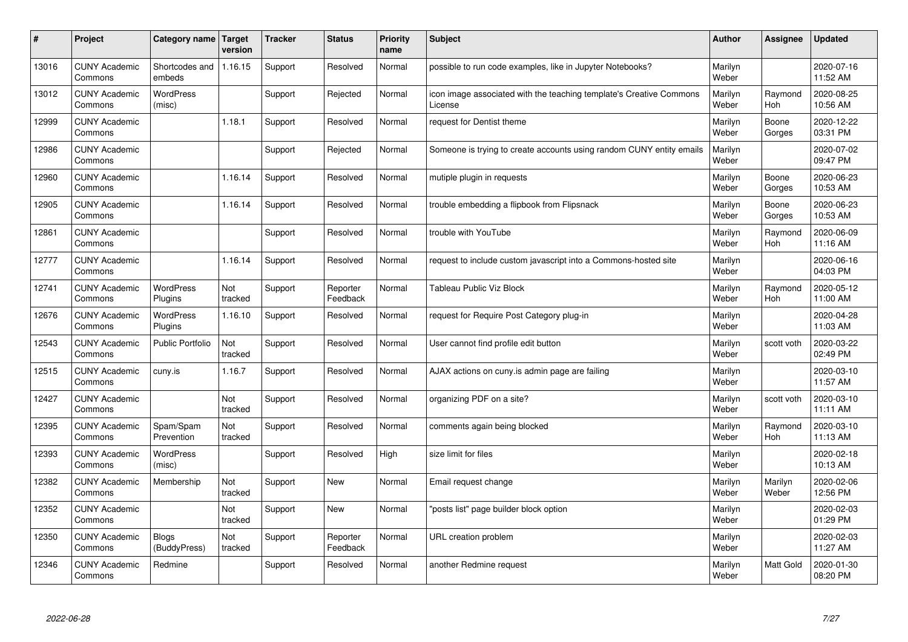| $\vert$ # | Project                         | Category name              | <b>Target</b><br>version | <b>Tracker</b> | <b>Status</b>        | <b>Priority</b><br>name | <b>Subject</b>                                                                 | <b>Author</b>    | <b>Assignee</b>       | <b>Updated</b>         |
|-----------|---------------------------------|----------------------------|--------------------------|----------------|----------------------|-------------------------|--------------------------------------------------------------------------------|------------------|-----------------------|------------------------|
| 13016     | <b>CUNY Academic</b><br>Commons | Shortcodes and<br>embeds   | 1.16.15                  | Support        | Resolved             | Normal                  | possible to run code examples, like in Jupyter Notebooks?                      | Marilyn<br>Weber |                       | 2020-07-16<br>11:52 AM |
| 13012     | <b>CUNY Academic</b><br>Commons | <b>WordPress</b><br>(misc) |                          | Support        | Rejected             | Normal                  | icon image associated with the teaching template's Creative Commons<br>License | Marilyn<br>Weber | Raymond<br>Hoh        | 2020-08-25<br>10:56 AM |
| 12999     | <b>CUNY Academic</b><br>Commons |                            | 1.18.1                   | Support        | Resolved             | Normal                  | request for Dentist theme                                                      | Marilyn<br>Weber | Boone<br>Gorges       | 2020-12-22<br>03:31 PM |
| 12986     | <b>CUNY Academic</b><br>Commons |                            |                          | Support        | Rejected             | Normal                  | Someone is trying to create accounts using random CUNY entity emails           | Marilyn<br>Weber |                       | 2020-07-02<br>09:47 PM |
| 12960     | <b>CUNY Academic</b><br>Commons |                            | 1.16.14                  | Support        | Resolved             | Normal                  | mutiple plugin in requests                                                     | Marilyn<br>Weber | Boone<br>Gorges       | 2020-06-23<br>10:53 AM |
| 12905     | <b>CUNY Academic</b><br>Commons |                            | 1.16.14                  | Support        | Resolved             | Normal                  | trouble embedding a flipbook from Flipsnack                                    | Marilyn<br>Weber | Boone<br>Gorges       | 2020-06-23<br>10:53 AM |
| 12861     | <b>CUNY Academic</b><br>Commons |                            |                          | Support        | Resolved             | Normal                  | trouble with YouTube                                                           | Marilyn<br>Weber | Raymond<br>Hoh        | 2020-06-09<br>11:16 AM |
| 12777     | <b>CUNY Academic</b><br>Commons |                            | .16.14                   | Support        | Resolved             | Normal                  | request to include custom javascript into a Commons-hosted site                | Marilyn<br>Weber |                       | 2020-06-16<br>04:03 PM |
| 12741     | <b>CUNY Academic</b><br>Commons | WordPress<br>Plugins       | Not<br>tracked           | Support        | Reporter<br>Feedback | Normal                  | <b>Tableau Public Viz Block</b>                                                | Marilyn<br>Weber | Raymond<br>Hoh        | 2020-05-12<br>11:00 AM |
| 12676     | <b>CUNY Academic</b><br>Commons | WordPress<br>Plugins       | 1.16.10                  | Support        | Resolved             | Normal                  | request for Require Post Category plug-in                                      | Marilyn<br>Weber |                       | 2020-04-28<br>11:03 AM |
| 12543     | <b>CUNY Academic</b><br>Commons | Public Portfolio           | Not<br>tracked           | Support        | Resolved             | Normal                  | User cannot find profile edit button                                           | Marilyn<br>Weber | scott voth            | 2020-03-22<br>02:49 PM |
| 12515     | <b>CUNY Academic</b><br>Commons | cuny.is                    | 1.16.7                   | Support        | Resolved             | Normal                  | AJAX actions on cuny is admin page are failing                                 | Marilyn<br>Weber |                       | 2020-03-10<br>11:57 AM |
| 12427     | <b>CUNY Academic</b><br>Commons |                            | Not<br>tracked           | Support        | Resolved             | Normal                  | organizing PDF on a site?                                                      | Marilyn<br>Weber | scott voth            | 2020-03-10<br>11:11 AM |
| 12395     | <b>CUNY Academic</b><br>Commons | Spam/Spam<br>Prevention    | Not<br>tracked           | Support        | Resolved             | Normal                  | comments again being blocked                                                   | Marilyn<br>Weber | Raymond<br><b>Hoh</b> | 2020-03-10<br>11:13 AM |
| 12393     | <b>CUNY Academic</b><br>Commons | <b>WordPress</b><br>(misc) |                          | Support        | Resolved             | High                    | size limit for files                                                           | Marilyn<br>Weber |                       | 2020-02-18<br>10:13 AM |
| 12382     | <b>CUNY Academic</b><br>Commons | Membership                 | Not<br>tracked           | Support        | <b>New</b>           | Normal                  | Email request change                                                           | Marilyn<br>Weber | Marilyn<br>Weber      | 2020-02-06<br>12:56 PM |
| 12352     | <b>CUNY Academic</b><br>Commons |                            | Not<br>tracked           | Support        | <b>New</b>           | Normal                  | 'posts list" page builder block option                                         | Marilyn<br>Weber |                       | 2020-02-03<br>01:29 PM |
| 12350     | <b>CUNY Academic</b><br>Commons | Blogs<br>(BuddyPress)      | Not<br>tracked           | Support        | Reporter<br>Feedback | Normal                  | URL creation problem                                                           | Marilyn<br>Weber |                       | 2020-02-03<br>11:27 AM |
| 12346     | <b>CUNY Academic</b><br>Commons | Redmine                    |                          | Support        | Resolved             | Normal                  | another Redmine request                                                        | Marilyn<br>Weber | <b>Matt Gold</b>      | 2020-01-30<br>08:20 PM |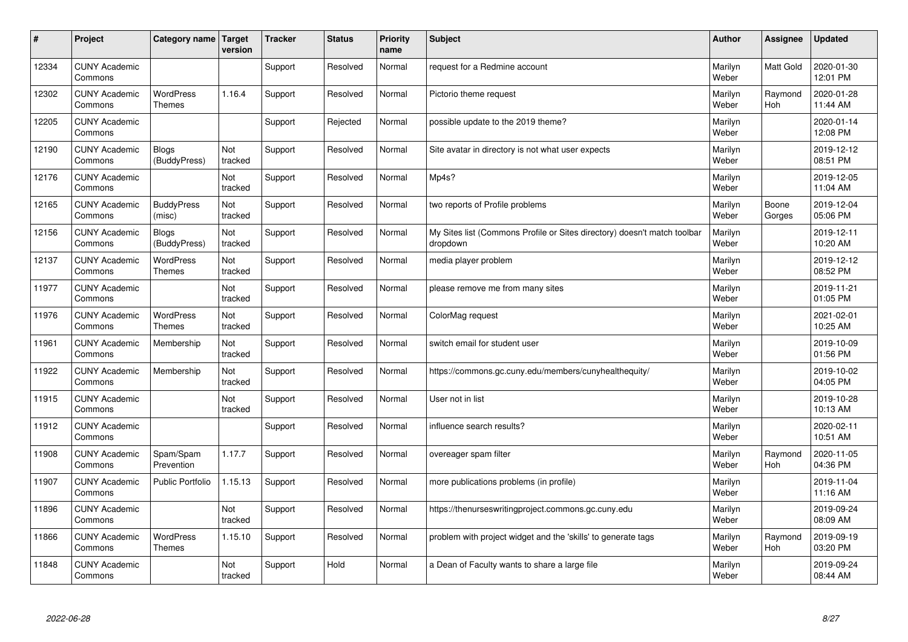| #     | Project                         | Category name   Target            | version        | <b>Tracker</b> | <b>Status</b> | <b>Priority</b><br>name | <b>Subject</b>                                                                       | <b>Author</b>    | Assignee              | <b>Updated</b>         |
|-------|---------------------------------|-----------------------------------|----------------|----------------|---------------|-------------------------|--------------------------------------------------------------------------------------|------------------|-----------------------|------------------------|
| 12334 | <b>CUNY Academic</b><br>Commons |                                   |                | Support        | Resolved      | Normal                  | request for a Redmine account                                                        | Marilyn<br>Weber | <b>Matt Gold</b>      | 2020-01-30<br>12:01 PM |
| 12302 | <b>CUNY Academic</b><br>Commons | <b>WordPress</b><br><b>Themes</b> | 1.16.4         | Support        | Resolved      | Normal                  | Pictorio theme request                                                               | Marilyn<br>Weber | Raymond<br><b>Hoh</b> | 2020-01-28<br>11:44 AM |
| 12205 | <b>CUNY Academic</b><br>Commons |                                   |                | Support        | Rejected      | Normal                  | possible update to the 2019 theme?                                                   | Marilyn<br>Weber |                       | 2020-01-14<br>12:08 PM |
| 12190 | <b>CUNY Academic</b><br>Commons | <b>Blogs</b><br>(BuddyPress)      | Not<br>tracked | Support        | Resolved      | Normal                  | Site avatar in directory is not what user expects                                    | Marilyn<br>Weber |                       | 2019-12-12<br>08:51 PM |
| 12176 | <b>CUNY Academic</b><br>Commons |                                   | Not<br>tracked | Support        | Resolved      | Normal                  | Mp4s?                                                                                | Marilyn<br>Weber |                       | 2019-12-05<br>11:04 AM |
| 12165 | <b>CUNY Academic</b><br>Commons | <b>BuddyPress</b><br>(misc)       | Not<br>tracked | Support        | Resolved      | Normal                  | two reports of Profile problems                                                      | Marilyn<br>Weber | Boone<br>Gorges       | 2019-12-04<br>05:06 PM |
| 12156 | <b>CUNY Academic</b><br>Commons | <b>Blogs</b><br>(BuddyPress)      | Not<br>tracked | Support        | Resolved      | Normal                  | My Sites list (Commons Profile or Sites directory) doesn't match toolbar<br>dropdown | Marilyn<br>Weber |                       | 2019-12-11<br>10:20 AM |
| 12137 | <b>CUNY Academic</b><br>Commons | WordPress<br><b>Themes</b>        | Not<br>tracked | Support        | Resolved      | Normal                  | media player problem                                                                 | Marilyn<br>Weber |                       | 2019-12-12<br>08:52 PM |
| 11977 | <b>CUNY Academic</b><br>Commons |                                   | Not<br>tracked | Support        | Resolved      | Normal                  | please remove me from many sites                                                     | Marilyn<br>Weber |                       | 2019-11-21<br>01:05 PM |
| 11976 | <b>CUNY Academic</b><br>Commons | <b>WordPress</b><br><b>Themes</b> | Not<br>tracked | Support        | Resolved      | Normal                  | ColorMag request                                                                     | Marilyn<br>Weber |                       | 2021-02-01<br>10:25 AM |
| 11961 | <b>CUNY Academic</b><br>Commons | Membership                        | Not<br>tracked | Support        | Resolved      | Normal                  | switch email for student user                                                        | Marilyn<br>Weber |                       | 2019-10-09<br>01:56 PM |
| 11922 | <b>CUNY Academic</b><br>Commons | Membership                        | Not<br>tracked | Support        | Resolved      | Normal                  | https://commons.gc.cuny.edu/members/cunyhealthequity/                                | Marilyn<br>Weber |                       | 2019-10-02<br>04:05 PM |
| 11915 | <b>CUNY Academic</b><br>Commons |                                   | Not<br>tracked | Support        | Resolved      | Normal                  | User not in list                                                                     | Marilyn<br>Weber |                       | 2019-10-28<br>10:13 AM |
| 11912 | <b>CUNY Academic</b><br>Commons |                                   |                | Support        | Resolved      | Normal                  | influence search results?                                                            | Marilyn<br>Weber |                       | 2020-02-11<br>10:51 AM |
| 11908 | <b>CUNY Academic</b><br>Commons | Spam/Spam<br>Prevention           | 1.17.7         | Support        | Resolved      | Normal                  | overeager spam filter                                                                | Marilyn<br>Weber | Raymond<br><b>Hoh</b> | 2020-11-05<br>04:36 PM |
| 11907 | <b>CUNY Academic</b><br>Commons | <b>Public Portfolio</b>           | 1.15.13        | Support        | Resolved      | Normal                  | more publications problems (in profile)                                              | Marilyn<br>Weber |                       | 2019-11-04<br>11:16 AM |
| 11896 | <b>CUNY Academic</b><br>Commons |                                   | Not<br>tracked | Support        | Resolved      | Normal                  | https://thenurseswritingproject.commons.gc.cuny.edu                                  | Marilyn<br>Weber |                       | 2019-09-24<br>08:09 AM |
| 11866 | <b>CUNY Academic</b><br>Commons | <b>WordPress</b><br><b>Themes</b> | 1.15.10        | Support        | Resolved      | Normal                  | problem with project widget and the 'skills' to generate tags                        | Marilyn<br>Weber | Raymond<br>Hoh        | 2019-09-19<br>03:20 PM |
| 11848 | <b>CUNY Academic</b><br>Commons |                                   | Not<br>tracked | Support        | Hold          | Normal                  | a Dean of Faculty wants to share a large file                                        | Marilyn<br>Weber |                       | 2019-09-24<br>08:44 AM |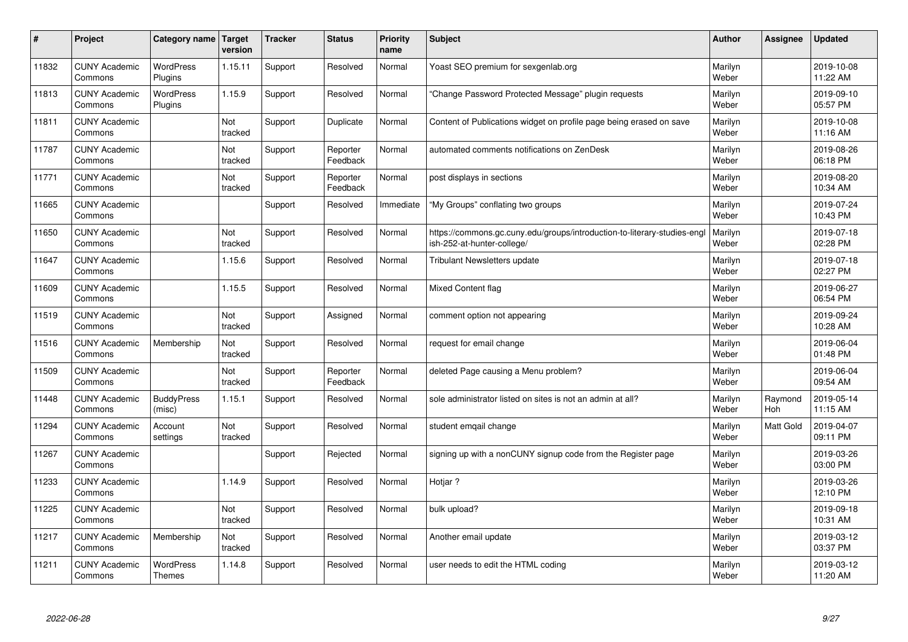| #     | Project                         | Category name                     | <b>Target</b><br>version | <b>Tracker</b> | <b>Status</b>        | <b>Priority</b><br>name | <b>Subject</b>                                                                                        | <b>Author</b>    | Assignee       | <b>Updated</b>         |
|-------|---------------------------------|-----------------------------------|--------------------------|----------------|----------------------|-------------------------|-------------------------------------------------------------------------------------------------------|------------------|----------------|------------------------|
| 11832 | <b>CUNY Academic</b><br>Commons | <b>WordPress</b><br>Plugins       | 1.15.11                  | Support        | Resolved             | Normal                  | Yoast SEO premium for sexgenlab.org                                                                   | Marilyn<br>Weber |                | 2019-10-08<br>11:22 AM |
| 11813 | <b>CUNY Academic</b><br>Commons | <b>WordPress</b><br>Plugins       | 1.15.9                   | Support        | Resolved             | Normal                  | 'Change Password Protected Message" plugin reguests                                                   | Marilyn<br>Weber |                | 2019-09-10<br>05:57 PM |
| 11811 | <b>CUNY Academic</b><br>Commons |                                   | Not<br>tracked           | Support        | Duplicate            | Normal                  | Content of Publications widget on profile page being erased on save                                   | Marilyn<br>Weber |                | 2019-10-08<br>11:16 AM |
| 11787 | <b>CUNY Academic</b><br>Commons |                                   | Not<br>tracked           | Support        | Reporter<br>Feedback | Normal                  | automated comments notifications on ZenDesk                                                           | Marilyn<br>Weber |                | 2019-08-26<br>06:18 PM |
| 11771 | <b>CUNY Academic</b><br>Commons |                                   | Not<br>tracked           | Support        | Reporter<br>Feedback | Normal                  | post displays in sections                                                                             | Marilyn<br>Weber |                | 2019-08-20<br>10:34 AM |
| 11665 | <b>CUNY Academic</b><br>Commons |                                   |                          | Support        | Resolved             | Immediate               | "My Groups" conflating two groups                                                                     | Marilyn<br>Weber |                | 2019-07-24<br>10:43 PM |
| 11650 | <b>CUNY Academic</b><br>Commons |                                   | Not<br>tracked           | Support        | Resolved             | Normal                  | https://commons.gc.cuny.edu/groups/introduction-to-literary-studies-eng<br>ish-252-at-hunter-college/ | Marilyn<br>Weber |                | 2019-07-18<br>02:28 PM |
| 11647 | <b>CUNY Academic</b><br>Commons |                                   | 1.15.6                   | Support        | Resolved             | Normal                  | Tribulant Newsletters update                                                                          | Marilyn<br>Weber |                | 2019-07-18<br>02:27 PM |
| 11609 | <b>CUNY Academic</b><br>Commons |                                   | 1.15.5                   | Support        | Resolved             | Normal                  | Mixed Content flag                                                                                    | Marilyn<br>Weber |                | 2019-06-27<br>06:54 PM |
| 11519 | <b>CUNY Academic</b><br>Commons |                                   | Not<br>tracked           | Support        | Assigned             | Normal                  | comment option not appearing                                                                          | Marilyn<br>Weber |                | 2019-09-24<br>10:28 AM |
| 11516 | <b>CUNY Academic</b><br>Commons | Membership                        | Not<br>tracked           | Support        | Resolved             | Normal                  | request for email change                                                                              | Marilyn<br>Weber |                | 2019-06-04<br>01:48 PM |
| 11509 | <b>CUNY Academic</b><br>Commons |                                   | Not<br>tracked           | Support        | Reporter<br>Feedback | Normal                  | deleted Page causing a Menu problem?                                                                  | Marilyn<br>Weber |                | 2019-06-04<br>09:54 AM |
| 11448 | <b>CUNY Academic</b><br>Commons | <b>BuddyPress</b><br>(misc)       | 1.15.1                   | Support        | Resolved             | Normal                  | sole administrator listed on sites is not an admin at all?                                            | Marilyn<br>Weber | Raymond<br>Hoh | 2019-05-14<br>11:15 AM |
| 11294 | <b>CUNY Academic</b><br>Commons | Account<br>settings               | Not<br>tracked           | Support        | Resolved             | Normal                  | student emqail change                                                                                 | Marilyn<br>Weber | Matt Gold      | 2019-04-07<br>09:11 PM |
| 11267 | <b>CUNY Academic</b><br>Commons |                                   |                          | Support        | Rejected             | Normal                  | signing up with a nonCUNY signup code from the Register page                                          | Marilyn<br>Weber |                | 2019-03-26<br>03:00 PM |
| 11233 | <b>CUNY Academic</b><br>Commons |                                   | 1.14.9                   | Support        | Resolved             | Normal                  | Hotjar?                                                                                               | Marilyn<br>Weber |                | 2019-03-26<br>12:10 PM |
| 11225 | <b>CUNY Academic</b><br>Commons |                                   | Not<br>tracked           | Support        | Resolved             | Normal                  | bulk upload?                                                                                          | Marilyn<br>Weber |                | 2019-09-18<br>10:31 AM |
| 11217 | <b>CUNY Academic</b><br>Commons | Membership                        | Not<br>tracked           | Support        | Resolved             | Normal                  | Another email update                                                                                  | Marilyn<br>Weber |                | 2019-03-12<br>03:37 PM |
| 11211 | <b>CUNY Academic</b><br>Commons | <b>WordPress</b><br><b>Themes</b> | 1.14.8                   | Support        | Resolved             | Normal                  | user needs to edit the HTML coding                                                                    | Marilyn<br>Weber |                | 2019-03-12<br>11:20 AM |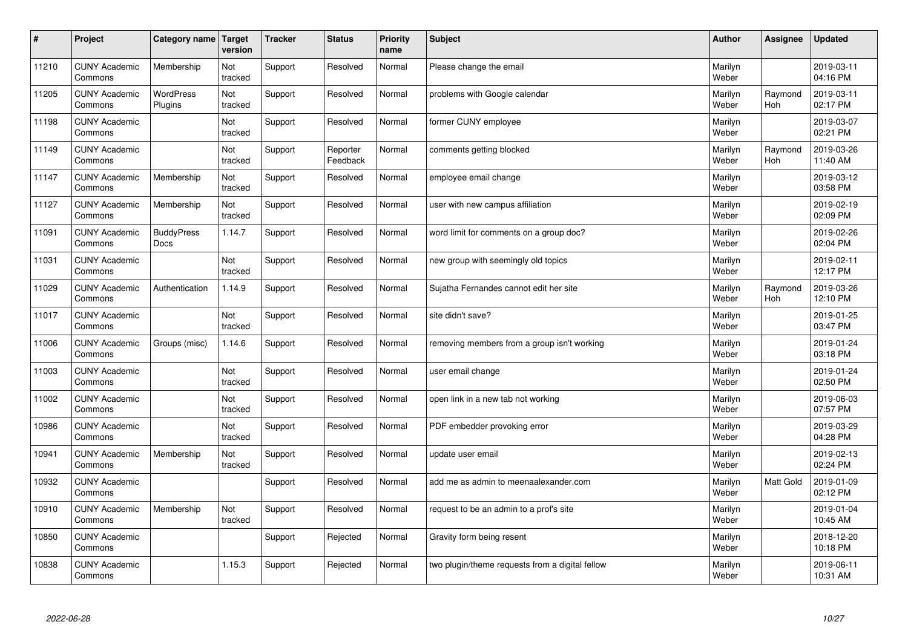| #     | Project                         | Category name               | Target<br>version | <b>Tracker</b> | <b>Status</b>        | <b>Priority</b><br>name | <b>Subject</b>                                  | <b>Author</b>    | Assignee              | <b>Updated</b>         |
|-------|---------------------------------|-----------------------------|-------------------|----------------|----------------------|-------------------------|-------------------------------------------------|------------------|-----------------------|------------------------|
| 11210 | <b>CUNY Academic</b><br>Commons | Membership                  | Not<br>tracked    | Support        | Resolved             | Normal                  | Please change the email                         | Marilyn<br>Weber |                       | 2019-03-11<br>04:16 PM |
| 11205 | <b>CUNY Academic</b><br>Commons | <b>WordPress</b><br>Plugins | Not<br>tracked    | Support        | Resolved             | Normal                  | problems with Google calendar                   | Marilyn<br>Weber | Raymond<br>Hoh        | 2019-03-11<br>02:17 PM |
| 11198 | <b>CUNY Academic</b><br>Commons |                             | Not<br>tracked    | Support        | Resolved             | Normal                  | former CUNY employee                            | Marilyn<br>Weber |                       | 2019-03-07<br>02:21 PM |
| 11149 | <b>CUNY Academic</b><br>Commons |                             | Not<br>tracked    | Support        | Reporter<br>Feedback | Normal                  | comments getting blocked                        | Marilyn<br>Weber | Raymond<br><b>Hoh</b> | 2019-03-26<br>11:40 AM |
| 11147 | <b>CUNY Academic</b><br>Commons | Membership                  | Not<br>tracked    | Support        | Resolved             | Normal                  | employee email change                           | Marilyn<br>Weber |                       | 2019-03-12<br>03:58 PM |
| 11127 | <b>CUNY Academic</b><br>Commons | Membership                  | Not<br>tracked    | Support        | Resolved             | Normal                  | user with new campus affiliation                | Marilyn<br>Weber |                       | 2019-02-19<br>02:09 PM |
| 11091 | <b>CUNY Academic</b><br>Commons | <b>BuddyPress</b><br>Docs   | 1.14.7            | Support        | Resolved             | Normal                  | word limit for comments on a group doc?         | Marilyn<br>Weber |                       | 2019-02-26<br>02:04 PM |
| 11031 | <b>CUNY Academic</b><br>Commons |                             | Not<br>tracked    | Support        | Resolved             | Normal                  | new group with seemingly old topics             | Marilyn<br>Weber |                       | 2019-02-11<br>12:17 PM |
| 11029 | <b>CUNY Academic</b><br>Commons | Authentication              | 1.14.9            | Support        | Resolved             | Normal                  | Sujatha Fernandes cannot edit her site          | Marilyn<br>Weber | Raymond<br><b>Hoh</b> | 2019-03-26<br>12:10 PM |
| 11017 | <b>CUNY Academic</b><br>Commons |                             | Not<br>tracked    | Support        | Resolved             | Normal                  | site didn't save?                               | Marilyn<br>Weber |                       | 2019-01-25<br>03:47 PM |
| 11006 | <b>CUNY Academic</b><br>Commons | Groups (misc)               | 1.14.6            | Support        | Resolved             | Normal                  | removing members from a group isn't working     | Marilyn<br>Weber |                       | 2019-01-24<br>03:18 PM |
| 11003 | <b>CUNY Academic</b><br>Commons |                             | Not<br>tracked    | Support        | Resolved             | Normal                  | user email change                               | Marilyn<br>Weber |                       | 2019-01-24<br>02:50 PM |
| 11002 | <b>CUNY Academic</b><br>Commons |                             | Not<br>tracked    | Support        | Resolved             | Normal                  | open link in a new tab not working              | Marilyn<br>Weber |                       | 2019-06-03<br>07:57 PM |
| 10986 | <b>CUNY Academic</b><br>Commons |                             | Not<br>tracked    | Support        | Resolved             | Normal                  | PDF embedder provoking error                    | Marilyn<br>Weber |                       | 2019-03-29<br>04:28 PM |
| 10941 | <b>CUNY Academic</b><br>Commons | Membership                  | Not<br>tracked    | Support        | Resolved             | Normal                  | update user email                               | Marilyn<br>Weber |                       | 2019-02-13<br>02:24 PM |
| 10932 | <b>CUNY Academic</b><br>Commons |                             |                   | Support        | Resolved             | Normal                  | add me as admin to meenaalexander.com           | Marilyn<br>Weber | <b>Matt Gold</b>      | 2019-01-09<br>02:12 PM |
| 10910 | <b>CUNY Academic</b><br>Commons | Membership                  | Not<br>tracked    | Support        | Resolved             | Normal                  | request to be an admin to a prof's site         | Marilyn<br>Weber |                       | 2019-01-04<br>10:45 AM |
| 10850 | <b>CUNY Academic</b><br>Commons |                             |                   | Support        | Rejected             | Normal                  | Gravity form being resent                       | Marilyn<br>Weber |                       | 2018-12-20<br>10:18 PM |
| 10838 | <b>CUNY Academic</b><br>Commons |                             | 1.15.3            | Support        | Rejected             | Normal                  | two plugin/theme requests from a digital fellow | Marilyn<br>Weber |                       | 2019-06-11<br>10:31 AM |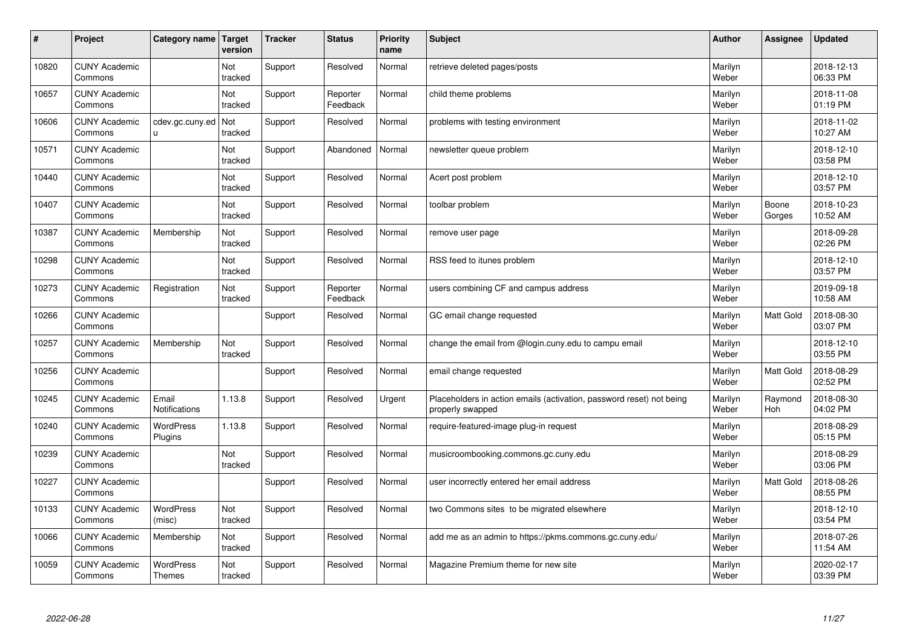| #     | Project                         | Category name                     | Target<br>version     | <b>Tracker</b> | <b>Status</b>        | <b>Priority</b><br>name | <b>Subject</b>                                                                           | <b>Author</b>    | Assignee         | <b>Updated</b>         |
|-------|---------------------------------|-----------------------------------|-----------------------|----------------|----------------------|-------------------------|------------------------------------------------------------------------------------------|------------------|------------------|------------------------|
| 10820 | <b>CUNY Academic</b><br>Commons |                                   | Not<br>tracked        | Support        | Resolved             | Normal                  | retrieve deleted pages/posts                                                             | Marilyn<br>Weber |                  | 2018-12-13<br>06:33 PM |
| 10657 | <b>CUNY Academic</b><br>Commons |                                   | Not<br>tracked        | Support        | Reporter<br>Feedback | Normal                  | child theme problems                                                                     | Marilyn<br>Weber |                  | 2018-11-08<br>01:19 PM |
| 10606 | <b>CUNY Academic</b><br>Commons | cdev.gc.cuny.ed<br>u.             | <b>Not</b><br>tracked | Support        | Resolved             | Normal                  | problems with testing environment                                                        | Marilyn<br>Weber |                  | 2018-11-02<br>10:27 AM |
| 10571 | <b>CUNY Academic</b><br>Commons |                                   | Not<br>tracked        | Support        | Abandoned            | Normal                  | newsletter queue problem                                                                 | Marilyn<br>Weber |                  | 2018-12-10<br>03:58 PM |
| 10440 | <b>CUNY Academic</b><br>Commons |                                   | Not<br>tracked        | Support        | Resolved             | Normal                  | Acert post problem                                                                       | Marilyn<br>Weber |                  | 2018-12-10<br>03:57 PM |
| 10407 | <b>CUNY Academic</b><br>Commons |                                   | Not<br>tracked        | Support        | Resolved             | Normal                  | toolbar problem                                                                          | Marilyn<br>Weber | Boone<br>Gorges  | 2018-10-23<br>10:52 AM |
| 10387 | <b>CUNY Academic</b><br>Commons | Membership                        | Not<br>tracked        | Support        | Resolved             | Normal                  | remove user page                                                                         | Marilyn<br>Weber |                  | 2018-09-28<br>02:26 PM |
| 10298 | <b>CUNY Academic</b><br>Commons |                                   | Not<br>tracked        | Support        | Resolved             | Normal                  | RSS feed to itunes problem                                                               | Marilyn<br>Weber |                  | 2018-12-10<br>03:57 PM |
| 10273 | <b>CUNY Academic</b><br>Commons | Registration                      | Not<br>tracked        | Support        | Reporter<br>Feedback | Normal                  | users combining CF and campus address                                                    | Marilyn<br>Weber |                  | 2019-09-18<br>10:58 AM |
| 10266 | <b>CUNY Academic</b><br>Commons |                                   |                       | Support        | Resolved             | Normal                  | GC email change requested                                                                | Marilyn<br>Weber | <b>Matt Gold</b> | 2018-08-30<br>03:07 PM |
| 10257 | <b>CUNY Academic</b><br>Commons | Membership                        | Not<br>tracked        | Support        | Resolved             | Normal                  | change the email from @login.cuny.edu to campu email                                     | Marilyn<br>Weber |                  | 2018-12-10<br>03:55 PM |
| 10256 | <b>CUNY Academic</b><br>Commons |                                   |                       | Support        | Resolved             | Normal                  | email change requested                                                                   | Marilyn<br>Weber | <b>Matt Gold</b> | 2018-08-29<br>02:52 PM |
| 10245 | <b>CUNY Academic</b><br>Commons | Email<br><b>Notifications</b>     | 1.13.8                | Support        | Resolved             | Urgent                  | Placeholders in action emails (activation, password reset) not being<br>properly swapped | Marilyn<br>Weber | Raymond<br>Hoh   | 2018-08-30<br>04:02 PM |
| 10240 | <b>CUNY Academic</b><br>Commons | <b>WordPress</b><br>Plugins       | 1.13.8                | Support        | Resolved             | Normal                  | require-featured-image plug-in request                                                   | Marilyn<br>Weber |                  | 2018-08-29<br>05:15 PM |
| 10239 | <b>CUNY Academic</b><br>Commons |                                   | Not<br>tracked        | Support        | Resolved             | Normal                  | musicroombooking.commons.gc.cuny.edu                                                     | Marilyn<br>Weber |                  | 2018-08-29<br>03:06 PM |
| 10227 | <b>CUNY Academic</b><br>Commons |                                   |                       | Support        | Resolved             | Normal                  | user incorrectly entered her email address                                               | Marilyn<br>Weber | <b>Matt Gold</b> | 2018-08-26<br>08:55 PM |
| 10133 | <b>CUNY Academic</b><br>Commons | WordPress<br>(misc)               | Not<br>tracked        | Support        | Resolved             | Normal                  | two Commons sites to be migrated elsewhere                                               | Marilyn<br>Weber |                  | 2018-12-10<br>03:54 PM |
| 10066 | <b>CUNY Academic</b><br>Commons | Membership                        | Not<br>tracked        | Support        | Resolved             | Normal                  | add me as an admin to https://pkms.commons.gc.cuny.edu/                                  | Marilyn<br>Weber |                  | 2018-07-26<br>11:54 AM |
| 10059 | <b>CUNY Academic</b><br>Commons | <b>WordPress</b><br><b>Themes</b> | Not<br>tracked        | Support        | Resolved             | Normal                  | Magazine Premium theme for new site                                                      | Marilyn<br>Weber |                  | 2020-02-17<br>03:39 PM |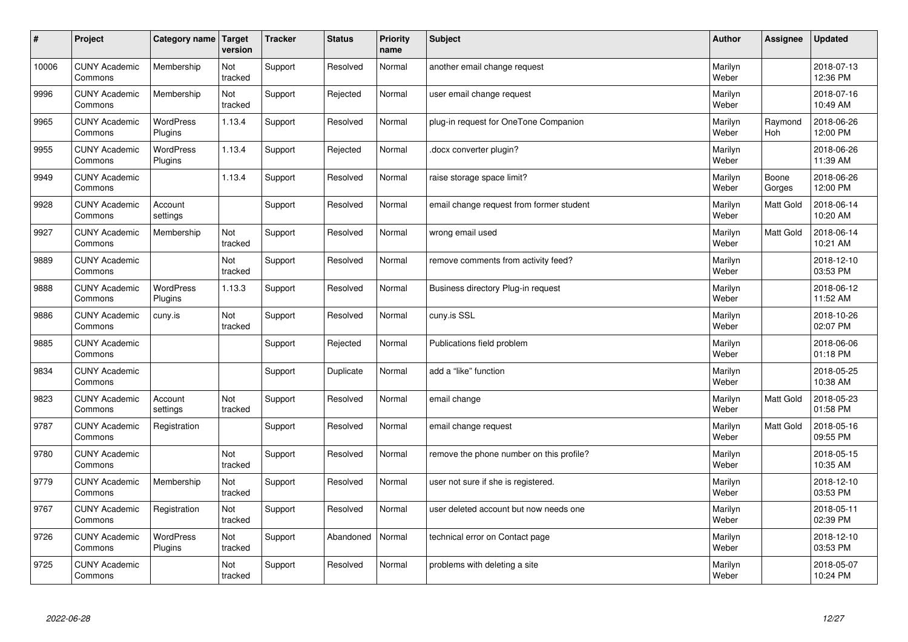| $\sharp$ | Project                         | Category name   Target      | version        | <b>Tracker</b> | <b>Status</b> | <b>Priority</b><br>name | <b>Subject</b>                           | <b>Author</b>    | Assignee              | <b>Updated</b>         |
|----------|---------------------------------|-----------------------------|----------------|----------------|---------------|-------------------------|------------------------------------------|------------------|-----------------------|------------------------|
| 10006    | <b>CUNY Academic</b><br>Commons | Membership                  | Not<br>tracked | Support        | Resolved      | Normal                  | another email change request             | Marilyn<br>Weber |                       | 2018-07-13<br>12:36 PM |
| 9996     | <b>CUNY Academic</b><br>Commons | Membership                  | Not<br>tracked | Support        | Rejected      | Normal                  | user email change request                | Marilyn<br>Weber |                       | 2018-07-16<br>10:49 AM |
| 9965     | <b>CUNY Academic</b><br>Commons | <b>WordPress</b><br>Plugins | 1.13.4         | Support        | Resolved      | Normal                  | plug-in request for OneTone Companion    | Marilyn<br>Weber | Raymond<br><b>Hoh</b> | 2018-06-26<br>12:00 PM |
| 9955     | <b>CUNY Academic</b><br>Commons | <b>WordPress</b><br>Plugins | 1.13.4         | Support        | Rejected      | Normal                  | docx converter plugin?                   | Marilyn<br>Weber |                       | 2018-06-26<br>11:39 AM |
| 9949     | <b>CUNY Academic</b><br>Commons |                             | 1.13.4         | Support        | Resolved      | Normal                  | raise storage space limit?               | Marilyn<br>Weber | Boone<br>Gorges       | 2018-06-26<br>12:00 PM |
| 9928     | <b>CUNY Academic</b><br>Commons | Account<br>settings         |                | Support        | Resolved      | Normal                  | email change request from former student | Marilyn<br>Weber | <b>Matt Gold</b>      | 2018-06-14<br>10:20 AM |
| 9927     | <b>CUNY Academic</b><br>Commons | Membership                  | Not<br>tracked | Support        | Resolved      | Normal                  | wrong email used                         | Marilyn<br>Weber | Matt Gold             | 2018-06-14<br>10:21 AM |
| 9889     | <b>CUNY Academic</b><br>Commons |                             | Not<br>tracked | Support        | Resolved      | Normal                  | remove comments from activity feed?      | Marilyn<br>Weber |                       | 2018-12-10<br>03:53 PM |
| 9888     | <b>CUNY Academic</b><br>Commons | <b>WordPress</b><br>Plugins | 1.13.3         | Support        | Resolved      | Normal                  | Business directory Plug-in request       | Marilyn<br>Weber |                       | 2018-06-12<br>11:52 AM |
| 9886     | <b>CUNY Academic</b><br>Commons | cuny.is                     | Not<br>tracked | Support        | Resolved      | Normal                  | cuny.is SSL                              | Marilyn<br>Weber |                       | 2018-10-26<br>02:07 PM |
| 9885     | <b>CUNY Academic</b><br>Commons |                             |                | Support        | Rejected      | Normal                  | Publications field problem               | Marilyn<br>Weber |                       | 2018-06-06<br>01:18 PM |
| 9834     | <b>CUNY Academic</b><br>Commons |                             |                | Support        | Duplicate     | Normal                  | add a "like" function                    | Marilyn<br>Weber |                       | 2018-05-25<br>10:38 AM |
| 9823     | <b>CUNY Academic</b><br>Commons | Account<br>settings         | Not<br>tracked | Support        | Resolved      | Normal                  | email change                             | Marilyn<br>Weber | Matt Gold             | 2018-05-23<br>01:58 PM |
| 9787     | <b>CUNY Academic</b><br>Commons | Registration                |                | Support        | Resolved      | Normal                  | email change request                     | Marilyn<br>Weber | Matt Gold             | 2018-05-16<br>09:55 PM |
| 9780     | <b>CUNY Academic</b><br>Commons |                             | Not<br>tracked | Support        | Resolved      | Normal                  | remove the phone number on this profile? | Marilyn<br>Weber |                       | 2018-05-15<br>10:35 AM |
| 9779     | <b>CUNY Academic</b><br>Commons | Membership                  | Not<br>tracked | Support        | Resolved      | Normal                  | user not sure if she is registered.      | Marilyn<br>Weber |                       | 2018-12-10<br>03:53 PM |
| 9767     | <b>CUNY Academic</b><br>Commons | Registration                | Not<br>tracked | Support        | Resolved      | Normal                  | user deleted account but now needs one   | Marilyn<br>Weber |                       | 2018-05-11<br>02:39 PM |
| 9726     | <b>CUNY Academic</b><br>Commons | WordPress<br>Plugins        | Not<br>tracked | Support        | Abandoned     | Normal                  | technical error on Contact page          | Marilyn<br>Weber |                       | 2018-12-10<br>03:53 PM |
| 9725     | <b>CUNY Academic</b><br>Commons |                             | Not<br>tracked | Support        | Resolved      | Normal                  | problems with deleting a site            | Marilyn<br>Weber |                       | 2018-05-07<br>10:24 PM |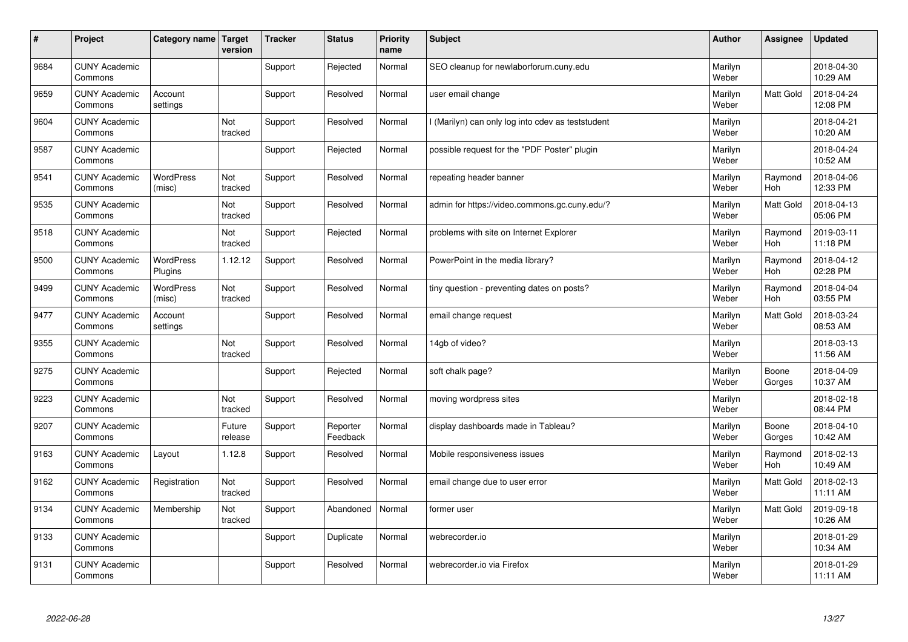| #    | Project                         | Category name               | Target<br>version | <b>Tracker</b> | <b>Status</b>        | <b>Priority</b><br>name | <b>Subject</b>                                    | <b>Author</b>    | Assignee              | <b>Updated</b>         |
|------|---------------------------------|-----------------------------|-------------------|----------------|----------------------|-------------------------|---------------------------------------------------|------------------|-----------------------|------------------------|
| 9684 | <b>CUNY Academic</b><br>Commons |                             |                   | Support        | Rejected             | Normal                  | SEO cleanup for newlaborforum.cuny.edu            | Marilyn<br>Weber |                       | 2018-04-30<br>10:29 AM |
| 9659 | <b>CUNY Academic</b><br>Commons | Account<br>settings         |                   | Support        | Resolved             | Normal                  | user email change                                 | Marilyn<br>Weber | <b>Matt Gold</b>      | 2018-04-24<br>12:08 PM |
| 9604 | <b>CUNY Academic</b><br>Commons |                             | Not<br>tracked    | Support        | Resolved             | Normal                  | I (Marilyn) can only log into cdev as teststudent | Marilyn<br>Weber |                       | 2018-04-21<br>10:20 AM |
| 9587 | <b>CUNY Academic</b><br>Commons |                             |                   | Support        | Rejected             | Normal                  | possible request for the "PDF Poster" plugin      | Marilyn<br>Weber |                       | 2018-04-24<br>10:52 AM |
| 9541 | <b>CUNY Academic</b><br>Commons | <b>WordPress</b><br>(misc)  | Not<br>tracked    | Support        | Resolved             | Normal                  | repeating header banner                           | Marilyn<br>Weber | Raymond<br>Hoh        | 2018-04-06<br>12:33 PM |
| 9535 | <b>CUNY Academic</b><br>Commons |                             | Not<br>tracked    | Support        | Resolved             | Normal                  | admin for https://video.commons.gc.cuny.edu/?     | Marilyn<br>Weber | Matt Gold             | 2018-04-13<br>05:06 PM |
| 9518 | <b>CUNY Academic</b><br>Commons |                             | Not<br>tracked    | Support        | Rejected             | Normal                  | problems with site on Internet Explorer           | Marilyn<br>Weber | Raymond<br>Hoh        | 2019-03-11<br>11:18 PM |
| 9500 | <b>CUNY Academic</b><br>Commons | <b>WordPress</b><br>Plugins | 1.12.12           | Support        | Resolved             | Normal                  | PowerPoint in the media library?                  | Marilyn<br>Weber | Raymond<br>Hoh        | 2018-04-12<br>02:28 PM |
| 9499 | <b>CUNY Academic</b><br>Commons | <b>WordPress</b><br>(misc)  | Not<br>tracked    | Support        | Resolved             | Normal                  | tiny question - preventing dates on posts?        | Marilyn<br>Weber | Raymond<br><b>Hoh</b> | 2018-04-04<br>03:55 PM |
| 9477 | <b>CUNY Academic</b><br>Commons | Account<br>settings         |                   | Support        | Resolved             | Normal                  | email change request                              | Marilyn<br>Weber | <b>Matt Gold</b>      | 2018-03-24<br>08:53 AM |
| 9355 | <b>CUNY Academic</b><br>Commons |                             | Not<br>tracked    | Support        | Resolved             | Normal                  | 14gb of video?                                    | Marilyn<br>Weber |                       | 2018-03-13<br>11:56 AM |
| 9275 | <b>CUNY Academic</b><br>Commons |                             |                   | Support        | Rejected             | Normal                  | soft chalk page?                                  | Marilyn<br>Weber | Boone<br>Gorges       | 2018-04-09<br>10:37 AM |
| 9223 | <b>CUNY Academic</b><br>Commons |                             | Not<br>tracked    | Support        | Resolved             | Normal                  | moving wordpress sites                            | Marilyn<br>Weber |                       | 2018-02-18<br>08:44 PM |
| 9207 | <b>CUNY Academic</b><br>Commons |                             | Future<br>release | Support        | Reporter<br>Feedback | Normal                  | display dashboards made in Tableau?               | Marilyn<br>Weber | Boone<br>Gorges       | 2018-04-10<br>10:42 AM |
| 9163 | <b>CUNY Academic</b><br>Commons | Layout                      | 1.12.8            | Support        | Resolved             | Normal                  | Mobile responsiveness issues                      | Marilyn<br>Weber | Raymond<br><b>Hoh</b> | 2018-02-13<br>10:49 AM |
| 9162 | <b>CUNY Academic</b><br>Commons | Registration                | Not<br>tracked    | Support        | Resolved             | Normal                  | email change due to user error                    | Marilyn<br>Weber | <b>Matt Gold</b>      | 2018-02-13<br>11:11 AM |
| 9134 | <b>CUNY Academic</b><br>Commons | Membership                  | Not<br>tracked    | Support        | Abandoned            | Normal                  | former user                                       | Marilyn<br>Weber | Matt Gold             | 2019-09-18<br>10:26 AM |
| 9133 | <b>CUNY Academic</b><br>Commons |                             |                   | Support        | Duplicate            | Normal                  | webrecorder.io                                    | Marilyn<br>Weber |                       | 2018-01-29<br>10:34 AM |
| 9131 | <b>CUNY Academic</b><br>Commons |                             |                   | Support        | Resolved             | Normal                  | webrecorder.io via Firefox                        | Marilyn<br>Weber |                       | 2018-01-29<br>11:11 AM |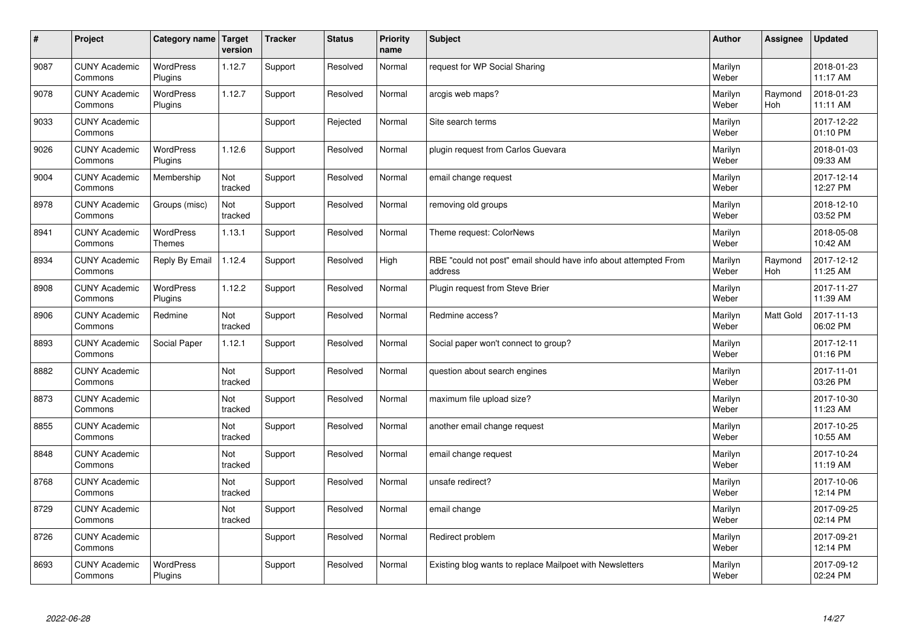| $\sharp$ | Project                         | Category name   Target            | version        | <b>Tracker</b> | <b>Status</b> | <b>Priority</b><br>name | <b>Subject</b>                                                              | <b>Author</b>    | Assignee              | <b>Updated</b>         |
|----------|---------------------------------|-----------------------------------|----------------|----------------|---------------|-------------------------|-----------------------------------------------------------------------------|------------------|-----------------------|------------------------|
| 9087     | <b>CUNY Academic</b><br>Commons | <b>WordPress</b><br>Plugins       | 1.12.7         | Support        | Resolved      | Normal                  | request for WP Social Sharing                                               | Marilyn<br>Weber |                       | 2018-01-23<br>11:17 AM |
| 9078     | <b>CUNY Academic</b><br>Commons | <b>WordPress</b><br>Plugins       | 1.12.7         | Support        | Resolved      | Normal                  | arcgis web maps?                                                            | Marilyn<br>Weber | Raymond<br>Hoh        | 2018-01-23<br>11:11 AM |
| 9033     | <b>CUNY Academic</b><br>Commons |                                   |                | Support        | Rejected      | Normal                  | Site search terms                                                           | Marilyn<br>Weber |                       | 2017-12-22<br>01:10 PM |
| 9026     | <b>CUNY Academic</b><br>Commons | <b>WordPress</b><br>Plugins       | 1.12.6         | Support        | Resolved      | Normal                  | plugin request from Carlos Guevara                                          | Marilyn<br>Weber |                       | 2018-01-03<br>09:33 AM |
| 9004     | <b>CUNY Academic</b><br>Commons | Membership                        | Not<br>tracked | Support        | Resolved      | Normal                  | email change request                                                        | Marilyn<br>Weber |                       | 2017-12-14<br>12:27 PM |
| 8978     | <b>CUNY Academic</b><br>Commons | Groups (misc)                     | Not<br>tracked | Support        | Resolved      | Normal                  | removing old groups                                                         | Marilyn<br>Weber |                       | 2018-12-10<br>03:52 PM |
| 8941     | <b>CUNY Academic</b><br>Commons | <b>WordPress</b><br><b>Themes</b> | 1.13.1         | Support        | Resolved      | Normal                  | Theme request: ColorNews                                                    | Marilyn<br>Weber |                       | 2018-05-08<br>10:42 AM |
| 8934     | <b>CUNY Academic</b><br>Commons | Reply By Email                    | 1.12.4         | Support        | Resolved      | High                    | RBE "could not post" email should have info about attempted From<br>address | Marilyn<br>Weber | Raymond<br><b>Hoh</b> | 2017-12-12<br>11:25 AM |
| 8908     | <b>CUNY Academic</b><br>Commons | WordPress<br>Plugins              | 1.12.2         | Support        | Resolved      | Normal                  | Plugin request from Steve Brier                                             | Marilyn<br>Weber |                       | 2017-11-27<br>11:39 AM |
| 8906     | <b>CUNY Academic</b><br>Commons | Redmine                           | Not<br>tracked | Support        | Resolved      | Normal                  | Redmine access?                                                             | Marilyn<br>Weber | Matt Gold             | 2017-11-13<br>06:02 PM |
| 8893     | <b>CUNY Academic</b><br>Commons | Social Paper                      | 1.12.1         | Support        | Resolved      | Normal                  | Social paper won't connect to group?                                        | Marilyn<br>Weber |                       | 2017-12-11<br>01:16 PM |
| 8882     | <b>CUNY Academic</b><br>Commons |                                   | Not<br>tracked | Support        | Resolved      | Normal                  | question about search engines                                               | Marilyn<br>Weber |                       | 2017-11-01<br>03:26 PM |
| 8873     | <b>CUNY Academic</b><br>Commons |                                   | Not<br>tracked | Support        | Resolved      | Normal                  | maximum file upload size?                                                   | Marilyn<br>Weber |                       | 2017-10-30<br>11:23 AM |
| 8855     | <b>CUNY Academic</b><br>Commons |                                   | Not<br>tracked | Support        | Resolved      | Normal                  | another email change request                                                | Marilyn<br>Weber |                       | 2017-10-25<br>10:55 AM |
| 8848     | <b>CUNY Academic</b><br>Commons |                                   | Not<br>tracked | Support        | Resolved      | Normal                  | email change request                                                        | Marilyn<br>Weber |                       | 2017-10-24<br>11:19 AM |
| 8768     | <b>CUNY Academic</b><br>Commons |                                   | Not<br>tracked | Support        | Resolved      | Normal                  | unsafe redirect?                                                            | Marilyn<br>Weber |                       | 2017-10-06<br>12:14 PM |
| 8729     | <b>CUNY Academic</b><br>Commons |                                   | Not<br>tracked | Support        | Resolved      | Normal                  | email change                                                                | Marilyn<br>Weber |                       | 2017-09-25<br>02:14 PM |
| 8726     | <b>CUNY Academic</b><br>Commons |                                   |                | Support        | Resolved      | Normal                  | Redirect problem                                                            | Marilyn<br>Weber |                       | 2017-09-21<br>12:14 PM |
| 8693     | <b>CUNY Academic</b><br>Commons | <b>WordPress</b><br>Plugins       |                | Support        | Resolved      | Normal                  | Existing blog wants to replace Mailpoet with Newsletters                    | Marilyn<br>Weber |                       | 2017-09-12<br>02:24 PM |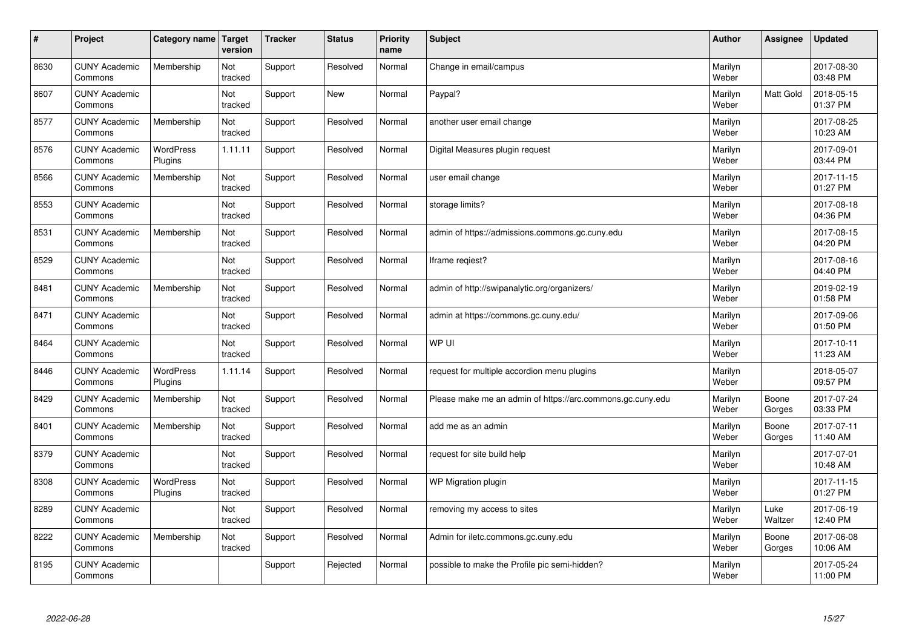| $\vert$ # | Project                         | Category name               | Target<br>version | <b>Tracker</b> | <b>Status</b> | <b>Priority</b><br>name | <b>Subject</b>                                             | <b>Author</b>    | Assignee         | <b>Updated</b>         |
|-----------|---------------------------------|-----------------------------|-------------------|----------------|---------------|-------------------------|------------------------------------------------------------|------------------|------------------|------------------------|
| 8630      | <b>CUNY Academic</b><br>Commons | Membership                  | Not<br>tracked    | Support        | Resolved      | Normal                  | Change in email/campus                                     | Marilyn<br>Weber |                  | 2017-08-30<br>03:48 PM |
| 8607      | <b>CUNY Academic</b><br>Commons |                             | Not<br>tracked    | Support        | New           | Normal                  | Paypal?                                                    | Marilyn<br>Weber | <b>Matt Gold</b> | 2018-05-15<br>01:37 PM |
| 8577      | <b>CUNY Academic</b><br>Commons | Membership                  | Not<br>tracked    | Support        | Resolved      | Normal                  | another user email change                                  | Marilyn<br>Weber |                  | 2017-08-25<br>10:23 AM |
| 8576      | <b>CUNY Academic</b><br>Commons | <b>WordPress</b><br>Plugins | 1.11.11           | Support        | Resolved      | Normal                  | Digital Measures plugin request                            | Marilyn<br>Weber |                  | 2017-09-01<br>03:44 PM |
| 8566      | <b>CUNY Academic</b><br>Commons | Membership                  | Not<br>tracked    | Support        | Resolved      | Normal                  | user email change                                          | Marilyn<br>Weber |                  | 2017-11-15<br>01:27 PM |
| 8553      | <b>CUNY Academic</b><br>Commons |                             | Not<br>tracked    | Support        | Resolved      | Normal                  | storage limits?                                            | Marilyn<br>Weber |                  | 2017-08-18<br>04:36 PM |
| 8531      | <b>CUNY Academic</b><br>Commons | Membership                  | Not<br>tracked    | Support        | Resolved      | Normal                  | admin of https://admissions.commons.gc.cuny.edu            | Marilyn<br>Weber |                  | 2017-08-15<br>04:20 PM |
| 8529      | <b>CUNY Academic</b><br>Commons |                             | Not<br>tracked    | Support        | Resolved      | Normal                  | Iframe regiest?                                            | Marilyn<br>Weber |                  | 2017-08-16<br>04:40 PM |
| 8481      | <b>CUNY Academic</b><br>Commons | Membership                  | Not<br>tracked    | Support        | Resolved      | Normal                  | admin of http://swipanalytic.org/organizers/               | Marilyn<br>Weber |                  | 2019-02-19<br>01:58 PM |
| 8471      | <b>CUNY Academic</b><br>Commons |                             | Not<br>tracked    | Support        | Resolved      | Normal                  | admin at https://commons.gc.cuny.edu/                      | Marilyn<br>Weber |                  | 2017-09-06<br>01:50 PM |
| 8464      | <b>CUNY Academic</b><br>Commons |                             | Not<br>tracked    | Support        | Resolved      | Normal                  | WP UI                                                      | Marilyn<br>Weber |                  | 2017-10-11<br>11:23 AM |
| 8446      | <b>CUNY Academic</b><br>Commons | <b>WordPress</b><br>Plugins | 1.11.14           | Support        | Resolved      | Normal                  | request for multiple accordion menu plugins                | Marilyn<br>Weber |                  | 2018-05-07<br>09:57 PM |
| 8429      | <b>CUNY Academic</b><br>Commons | Membership                  | Not<br>tracked    | Support        | Resolved      | Normal                  | Please make me an admin of https://arc.commons.gc.cuny.edu | Marilyn<br>Weber | Boone<br>Gorges  | 2017-07-24<br>03:33 PM |
| 8401      | <b>CUNY Academic</b><br>Commons | Membership                  | Not<br>tracked    | Support        | Resolved      | Normal                  | add me as an admin                                         | Marilyn<br>Weber | Boone<br>Gorges  | 2017-07-11<br>11:40 AM |
| 8379      | <b>CUNY Academic</b><br>Commons |                             | Not<br>tracked    | Support        | Resolved      | Normal                  | request for site build help                                | Marilyn<br>Weber |                  | 2017-07-01<br>10:48 AM |
| 8308      | <b>CUNY Academic</b><br>Commons | WordPress<br>Plugins        | Not<br>tracked    | Support        | Resolved      | Normal                  | WP Migration plugin                                        | Marilyn<br>Weber |                  | 2017-11-15<br>01:27 PM |
| 8289      | <b>CUNY Academic</b><br>Commons |                             | Not<br>tracked    | Support        | Resolved      | Normal                  | removing my access to sites                                | Marilyn<br>Weber | Luke<br>Waltzer  | 2017-06-19<br>12:40 PM |
| 8222      | <b>CUNY Academic</b><br>Commons | Membership                  | Not<br>tracked    | Support        | Resolved      | Normal                  | Admin for iletc.commons.gc.cuny.edu                        | Marilyn<br>Weber | Boone<br>Gorges  | 2017-06-08<br>10:06 AM |
| 8195      | <b>CUNY Academic</b><br>Commons |                             |                   | Support        | Rejected      | Normal                  | possible to make the Profile pic semi-hidden?              | Marilyn<br>Weber |                  | 2017-05-24<br>11:00 PM |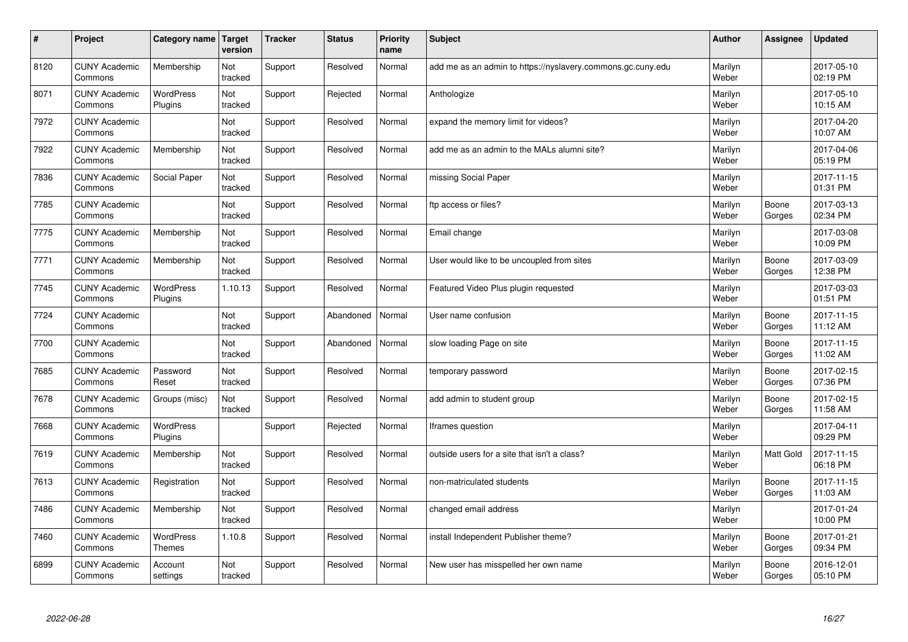| $\sharp$ | Project                         | Category name   Target      | version        | <b>Tracker</b> | <b>Status</b> | <b>Priority</b><br>name | <b>Subject</b>                                              | Author           | Assignee        | <b>Updated</b>         |
|----------|---------------------------------|-----------------------------|----------------|----------------|---------------|-------------------------|-------------------------------------------------------------|------------------|-----------------|------------------------|
| 8120     | <b>CUNY Academic</b><br>Commons | Membership                  | Not<br>tracked | Support        | Resolved      | Normal                  | add me as an admin to https://nyslavery.commons.gc.cuny.edu | Marilyn<br>Weber |                 | 2017-05-10<br>02:19 PM |
| 8071     | <b>CUNY Academic</b><br>Commons | <b>WordPress</b><br>Plugins | Not<br>tracked | Support        | Rejected      | Normal                  | Anthologize                                                 | Marilyn<br>Weber |                 | 2017-05-10<br>10:15 AM |
| 7972     | <b>CUNY Academic</b><br>Commons |                             | Not<br>tracked | Support        | Resolved      | Normal                  | expand the memory limit for videos?                         | Marilyn<br>Weber |                 | 2017-04-20<br>10:07 AM |
| 7922     | <b>CUNY Academic</b><br>Commons | Membership                  | Not<br>tracked | Support        | Resolved      | Normal                  | add me as an admin to the MALs alumni site?                 | Marilyn<br>Weber |                 | 2017-04-06<br>05:19 PM |
| 7836     | <b>CUNY Academic</b><br>Commons | Social Paper                | Not<br>tracked | Support        | Resolved      | Normal                  | missing Social Paper                                        | Marilyn<br>Weber |                 | 2017-11-15<br>01:31 PM |
| 7785     | <b>CUNY Academic</b><br>Commons |                             | Not<br>tracked | Support        | Resolved      | Normal                  | ftp access or files?                                        | Marilyn<br>Weber | Boone<br>Gorges | 2017-03-13<br>02:34 PM |
| 7775     | <b>CUNY Academic</b><br>Commons | Membership                  | Not<br>tracked | Support        | Resolved      | Normal                  | Email change                                                | Marilyn<br>Weber |                 | 2017-03-08<br>10:09 PM |
| 7771     | <b>CUNY Academic</b><br>Commons | Membership                  | Not<br>tracked | Support        | Resolved      | Normal                  | User would like to be uncoupled from sites                  | Marilyn<br>Weber | Boone<br>Gorges | 2017-03-09<br>12:38 PM |
| 7745     | <b>CUNY Academic</b><br>Commons | <b>WordPress</b><br>Plugins | 1.10.13        | Support        | Resolved      | Normal                  | Featured Video Plus plugin requested                        | Marilyn<br>Weber |                 | 2017-03-03<br>01:51 PM |
| 7724     | <b>CUNY Academic</b><br>Commons |                             | Not<br>tracked | Support        | Abandoned     | Normal                  | User name confusion                                         | Marilyn<br>Weber | Boone<br>Gorges | 2017-11-15<br>11:12 AM |
| 7700     | <b>CUNY Academic</b><br>Commons |                             | Not<br>tracked | Support        | Abandoned     | Normal                  | slow loading Page on site                                   | Marilyn<br>Weber | Boone<br>Gorges | 2017-11-15<br>11:02 AM |
| 7685     | <b>CUNY Academic</b><br>Commons | Password<br>Reset           | Not<br>tracked | Support        | Resolved      | Normal                  | temporary password                                          | Marilyn<br>Weber | Boone<br>Gorges | 2017-02-15<br>07:36 PM |
| 7678     | <b>CUNY Academic</b><br>Commons | Groups (misc)               | Not<br>tracked | Support        | Resolved      | Normal                  | add admin to student group                                  | Marilyn<br>Weber | Boone<br>Gorges | 2017-02-15<br>11:58 AM |
| 7668     | <b>CUNY Academic</b><br>Commons | WordPress<br>Plugins        |                | Support        | Rejected      | Normal                  | Iframes question                                            | Marilyn<br>Weber |                 | 2017-04-11<br>09:29 PM |
| 7619     | <b>CUNY Academic</b><br>Commons | Membership                  | Not<br>tracked | Support        | Resolved      | Normal                  | outside users for a site that isn't a class?                | Marilyn<br>Weber | Matt Gold       | 2017-11-15<br>06:18 PM |
| 7613     | <b>CUNY Academic</b><br>Commons | Registration                | Not<br>tracked | Support        | Resolved      | Normal                  | non-matriculated students                                   | Marilyn<br>Weber | Boone<br>Gorges | 2017-11-15<br>11:03 AM |
| 7486     | <b>CUNY Academic</b><br>Commons | Membership                  | Not<br>tracked | Support        | Resolved      | Normal                  | changed email address                                       | Marilyn<br>Weber |                 | 2017-01-24<br>10:00 PM |
| 7460     | <b>CUNY Academic</b><br>Commons | WordPress<br><b>Themes</b>  | 1.10.8         | Support        | Resolved      | Normal                  | install Independent Publisher theme?                        | Marilyn<br>Weber | Boone<br>Gorges | 2017-01-21<br>09:34 PM |
| 6899     | <b>CUNY Academic</b><br>Commons | Account<br>settings         | Not<br>tracked | Support        | Resolved      | Normal                  | New user has misspelled her own name                        | Marilyn<br>Weber | Boone<br>Gorges | 2016-12-01<br>05:10 PM |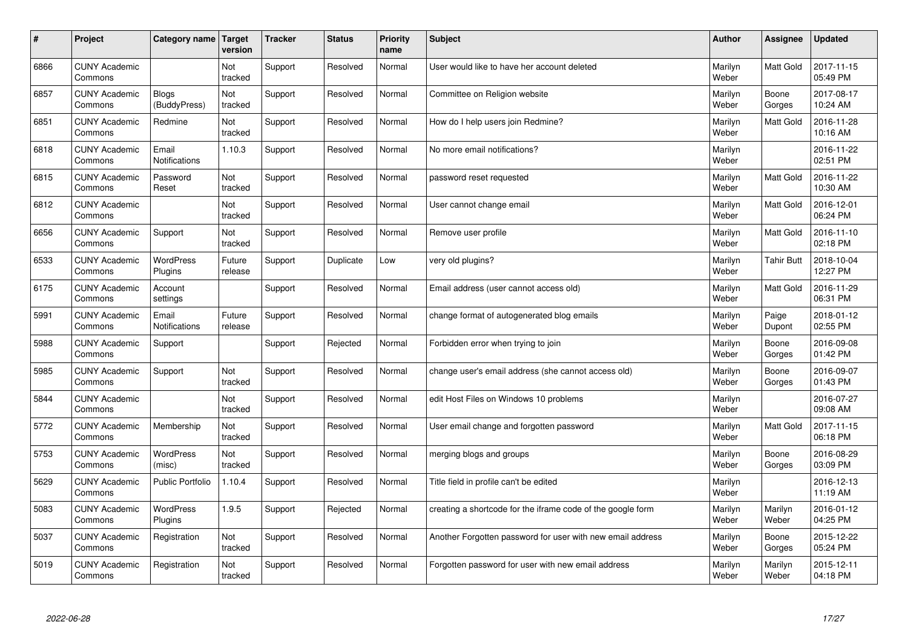| $\vert$ # | Project                         | Category name                 | <b>Target</b><br>version | <b>Tracker</b> | <b>Status</b> | <b>Priority</b><br>name | <b>Subject</b>                                              | <b>Author</b>    | <b>Assignee</b>   | <b>Updated</b>         |
|-----------|---------------------------------|-------------------------------|--------------------------|----------------|---------------|-------------------------|-------------------------------------------------------------|------------------|-------------------|------------------------|
| 6866      | <b>CUNY Academic</b><br>Commons |                               | Not<br>tracked           | Support        | Resolved      | Normal                  | User would like to have her account deleted                 | Marilyn<br>Weber | <b>Matt Gold</b>  | 2017-11-15<br>05:49 PM |
| 6857      | <b>CUNY Academic</b><br>Commons | <b>Blogs</b><br>(BuddyPress)  | Not<br>tracked           | Support        | Resolved      | Normal                  | Committee on Religion website                               | Marilyn<br>Weber | Boone<br>Gorges   | 2017-08-17<br>10:24 AM |
| 6851      | <b>CUNY Academic</b><br>Commons | Redmine                       | Not<br>tracked           | Support        | Resolved      | Normal                  | How do I help users join Redmine?                           | Marilyn<br>Weber | <b>Matt Gold</b>  | 2016-11-28<br>10:16 AM |
| 6818      | <b>CUNY Academic</b><br>Commons | Email<br><b>Notifications</b> | 1.10.3                   | Support        | Resolved      | Normal                  | No more email notifications?                                | Marilyn<br>Weber |                   | 2016-11-22<br>02:51 PM |
| 6815      | <b>CUNY Academic</b><br>Commons | Password<br>Reset             | Not<br>tracked           | Support        | Resolved      | Normal                  | password reset requested                                    | Marilyn<br>Weber | <b>Matt Gold</b>  | 2016-11-22<br>10:30 AM |
| 6812      | <b>CUNY Academic</b><br>Commons |                               | Not<br>tracked           | Support        | Resolved      | Normal                  | User cannot change email                                    | Marilyn<br>Weber | Matt Gold         | 2016-12-01<br>06:24 PM |
| 6656      | <b>CUNY Academic</b><br>Commons | Support                       | Not<br>tracked           | Support        | Resolved      | Normal                  | Remove user profile                                         | Marilyn<br>Weber | Matt Gold         | 2016-11-10<br>02:18 PM |
| 6533      | <b>CUNY Academic</b><br>Commons | WordPress<br>Plugins          | Future<br>release        | Support        | Duplicate     | Low                     | very old plugins?                                           | Marilyn<br>Weber | <b>Tahir Butt</b> | 2018-10-04<br>12:27 PM |
| 6175      | <b>CUNY Academic</b><br>Commons | Account<br>settings           |                          | Support        | Resolved      | Normal                  | Email address (user cannot access old)                      | Marilyn<br>Weber | <b>Matt Gold</b>  | 2016-11-29<br>06:31 PM |
| 5991      | <b>CUNY Academic</b><br>Commons | Email<br><b>Notifications</b> | Future<br>release        | Support        | Resolved      | Normal                  | change format of autogenerated blog emails                  | Marilyn<br>Weber | Paige<br>Dupont   | 2018-01-12<br>02:55 PM |
| 5988      | <b>CUNY Academic</b><br>Commons | Support                       |                          | Support        | Rejected      | Normal                  | Forbidden error when trying to join                         | Marilyn<br>Weber | Boone<br>Gorges   | 2016-09-08<br>01:42 PM |
| 5985      | <b>CUNY Academic</b><br>Commons | Support                       | Not<br>tracked           | Support        | Resolved      | Normal                  | change user's email address (she cannot access old)         | Marilyn<br>Weber | Boone<br>Gorges   | 2016-09-07<br>01:43 PM |
| 5844      | <b>CUNY Academic</b><br>Commons |                               | Not<br>tracked           | Support        | Resolved      | Normal                  | edit Host Files on Windows 10 problems                      | Marilyn<br>Weber |                   | 2016-07-27<br>09:08 AM |
| 5772      | <b>CUNY Academic</b><br>Commons | Membership                    | Not<br>tracked           | Support        | Resolved      | Normal                  | User email change and forgotten password                    | Marilyn<br>Weber | <b>Matt Gold</b>  | 2017-11-15<br>06:18 PM |
| 5753      | <b>CUNY Academic</b><br>Commons | <b>WordPress</b><br>(misc)    | Not<br>tracked           | Support        | Resolved      | Normal                  | merging blogs and groups                                    | Marilyn<br>Weber | Boone<br>Gorges   | 2016-08-29<br>03:09 PM |
| 5629      | <b>CUNY Academic</b><br>Commons | <b>Public Portfolio</b>       | 1.10.4                   | Support        | Resolved      | Normal                  | Title field in profile can't be edited                      | Marilyn<br>Weber |                   | 2016-12-13<br>11:19 AM |
| 5083      | <b>CUNY Academic</b><br>Commons | <b>WordPress</b><br>Plugins   | 1.9.5                    | Support        | Rejected      | Normal                  | creating a shortcode for the iframe code of the google form | Marilyn<br>Weber | Marilyn<br>Weber  | 2016-01-12<br>04:25 PM |
| 5037      | <b>CUNY Academic</b><br>Commons | Registration                  | Not<br>tracked           | Support        | Resolved      | Normal                  | Another Forgotten password for user with new email address  | Marilyn<br>Weber | Boone<br>Gorges   | 2015-12-22<br>05:24 PM |
| 5019      | <b>CUNY Academic</b><br>Commons | Registration                  | Not<br>tracked           | Support        | Resolved      | Normal                  | Forgotten password for user with new email address          | Marilyn<br>Weber | Marilyn<br>Weber  | 2015-12-11<br>04:18 PM |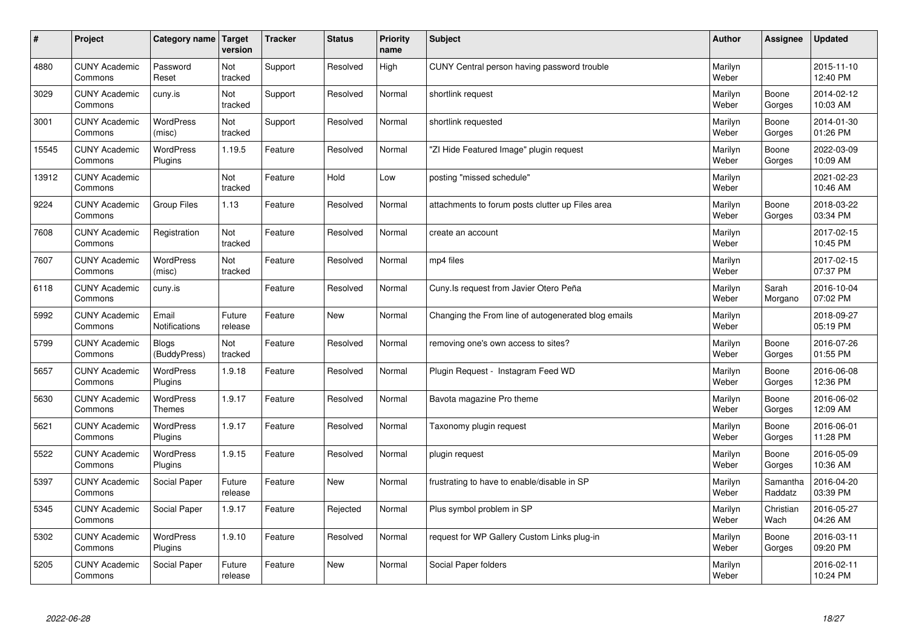| $\sharp$ | Project                         | Category name   Target            | version           | <b>Tracker</b> | <b>Status</b> | <b>Priority</b><br>name | <b>Subject</b>                                      | <b>Author</b>    | Assignee            | <b>Updated</b>         |
|----------|---------------------------------|-----------------------------------|-------------------|----------------|---------------|-------------------------|-----------------------------------------------------|------------------|---------------------|------------------------|
| 4880     | <b>CUNY Academic</b><br>Commons | Password<br>Reset                 | Not<br>tracked    | Support        | Resolved      | High                    | CUNY Central person having password trouble         | Marilyn<br>Weber |                     | 2015-11-10<br>12:40 PM |
| 3029     | <b>CUNY Academic</b><br>Commons | cuny.is                           | Not<br>tracked    | Support        | Resolved      | Normal                  | shortlink request                                   | Marilyn<br>Weber | Boone<br>Gorges     | 2014-02-12<br>10:03 AM |
| 3001     | <b>CUNY Academic</b><br>Commons | <b>WordPress</b><br>(misc)        | Not<br>tracked    | Support        | Resolved      | Normal                  | shortlink requested                                 | Marilyn<br>Weber | Boone<br>Gorges     | 2014-01-30<br>01:26 PM |
| 15545    | <b>CUNY Academic</b><br>Commons | <b>WordPress</b><br>Plugins       | 1.19.5            | Feature        | Resolved      | Normal                  | 'ZI Hide Featured Image" plugin request             | Marilyn<br>Weber | Boone<br>Gorges     | 2022-03-09<br>10:09 AM |
| 13912    | <b>CUNY Academic</b><br>Commons |                                   | Not<br>tracked    | Feature        | Hold          | Low                     | posting "missed schedule"                           | Marilyn<br>Weber |                     | 2021-02-23<br>10:46 AM |
| 9224     | <b>CUNY Academic</b><br>Commons | Group Files                       | 1.13              | Feature        | Resolved      | Normal                  | attachments to forum posts clutter up Files area    | Marilyn<br>Weber | Boone<br>Gorges     | 2018-03-22<br>03:34 PM |
| 7608     | <b>CUNY Academic</b><br>Commons | Registration                      | Not<br>tracked    | Feature        | Resolved      | Normal                  | create an account                                   | Marilyn<br>Weber |                     | 2017-02-15<br>10:45 PM |
| 7607     | <b>CUNY Academic</b><br>Commons | WordPress<br>(misc)               | Not<br>tracked    | Feature        | Resolved      | Normal                  | mp4 files                                           | Marilyn<br>Weber |                     | 2017-02-15<br>07:37 PM |
| 6118     | <b>CUNY Academic</b><br>Commons | cuny.is                           |                   | Feature        | Resolved      | Normal                  | Cuny. Is request from Javier Otero Peña             | Marilyn<br>Weber | Sarah<br>Morgano    | 2016-10-04<br>07:02 PM |
| 5992     | <b>CUNY Academic</b><br>Commons | Email<br><b>Notifications</b>     | Future<br>release | Feature        | <b>New</b>    | Normal                  | Changing the From line of autogenerated blog emails | Marilyn<br>Weber |                     | 2018-09-27<br>05:19 PM |
| 5799     | <b>CUNY Academic</b><br>Commons | <b>Blogs</b><br>(BuddyPress)      | Not<br>tracked    | Feature        | Resolved      | Normal                  | removing one's own access to sites?                 | Marilyn<br>Weber | Boone<br>Gorges     | 2016-07-26<br>01:55 PM |
| 5657     | <b>CUNY Academic</b><br>Commons | <b>WordPress</b><br>Plugins       | 1.9.18            | Feature        | Resolved      | Normal                  | Plugin Request - Instagram Feed WD                  | Marilyn<br>Weber | Boone<br>Gorges     | 2016-06-08<br>12:36 PM |
| 5630     | <b>CUNY Academic</b><br>Commons | <b>WordPress</b><br><b>Themes</b> | 1.9.17            | Feature        | Resolved      | Normal                  | Bavota magazine Pro theme                           | Marilyn<br>Weber | Boone<br>Gorges     | 2016-06-02<br>12:09 AM |
| 5621     | <b>CUNY Academic</b><br>Commons | WordPress<br>Plugins              | 1.9.17            | Feature        | Resolved      | Normal                  | Taxonomy plugin request                             | Marilyn<br>Weber | Boone<br>Gorges     | 2016-06-01<br>11:28 PM |
| 5522     | <b>CUNY Academic</b><br>Commons | <b>WordPress</b><br>Plugins       | 1.9.15            | Feature        | Resolved      | Normal                  | plugin request                                      | Marilyn<br>Weber | Boone<br>Gorges     | 2016-05-09<br>10:36 AM |
| 5397     | <b>CUNY Academic</b><br>Commons | Social Paper                      | Future<br>release | Feature        | <b>New</b>    | Normal                  | frustrating to have to enable/disable in SP         | Marilyn<br>Weber | Samantha<br>Raddatz | 2016-04-20<br>03:39 PM |
| 5345     | <b>CUNY Academic</b><br>Commons | Social Paper                      | 1.9.17            | Feature        | Rejected      | Normal                  | Plus symbol problem in SP                           | Marilyn<br>Weber | Christian<br>Wach   | 2016-05-27<br>04:26 AM |
| 5302     | <b>CUNY Academic</b><br>Commons | WordPress<br>Plugins              | 1.9.10            | Feature        | Resolved      | Normal                  | request for WP Gallery Custom Links plug-in         | Marilyn<br>Weber | Boone<br>Gorges     | 2016-03-11<br>09:20 PM |
| 5205     | <b>CUNY Academic</b><br>Commons | Social Paper                      | Future<br>release | Feature        | <b>New</b>    | Normal                  | Social Paper folders                                | Marilyn<br>Weber |                     | 2016-02-11<br>10:24 PM |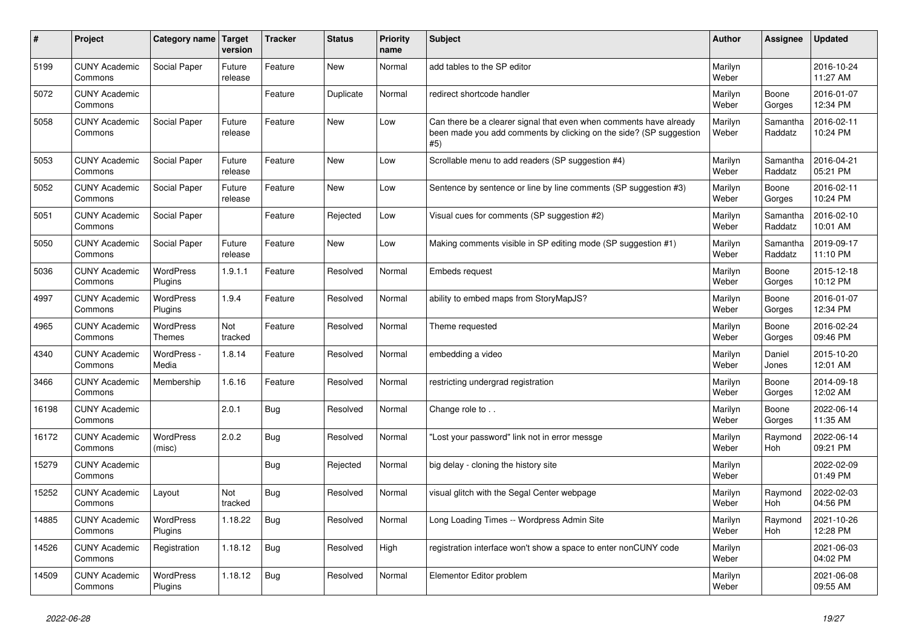| $\pmb{\#}$ | Project                         | Category name                     | <b>Target</b><br>version | <b>Tracker</b> | <b>Status</b> | <b>Priority</b><br>name | <b>Subject</b>                                                                                                                                  | <b>Author</b>    | Assignee              | <b>Updated</b>         |
|------------|---------------------------------|-----------------------------------|--------------------------|----------------|---------------|-------------------------|-------------------------------------------------------------------------------------------------------------------------------------------------|------------------|-----------------------|------------------------|
| 5199       | <b>CUNY Academic</b><br>Commons | Social Paper                      | Future<br>release        | Feature        | <b>New</b>    | Normal                  | add tables to the SP editor                                                                                                                     | Marilyn<br>Weber |                       | 2016-10-24<br>11:27 AM |
| 5072       | <b>CUNY Academic</b><br>Commons |                                   |                          | Feature        | Duplicate     | Normal                  | redirect shortcode handler                                                                                                                      | Marilyn<br>Weber | Boone<br>Gorges       | 2016-01-07<br>12:34 PM |
| 5058       | <b>CUNY Academic</b><br>Commons | Social Paper                      | Future<br>release        | Feature        | <b>New</b>    | Low                     | Can there be a clearer signal that even when comments have already<br>been made you add comments by clicking on the side? (SP suggestion<br>#5) | Marilyn<br>Weber | Samantha<br>Raddatz   | 2016-02-11<br>10:24 PM |
| 5053       | <b>CUNY Academic</b><br>Commons | Social Paper                      | Future<br>release        | Feature        | <b>New</b>    | Low                     | Scrollable menu to add readers (SP suggestion #4)                                                                                               | Marilyn<br>Weber | Samantha<br>Raddatz   | 2016-04-21<br>05:21 PM |
| 5052       | <b>CUNY Academic</b><br>Commons | Social Paper                      | Future<br>release        | Feature        | <b>New</b>    | Low                     | Sentence by sentence or line by line comments (SP suggestion #3)                                                                                | Marilyn<br>Weber | Boone<br>Gorges       | 2016-02-11<br>10:24 PM |
| 5051       | <b>CUNY Academic</b><br>Commons | Social Paper                      |                          | Feature        | Rejected      | Low                     | Visual cues for comments (SP suggestion #2)                                                                                                     | Marilyn<br>Weber | Samantha<br>Raddatz   | 2016-02-10<br>10:01 AM |
| 5050       | <b>CUNY Academic</b><br>Commons | Social Paper                      | Future<br>release        | Feature        | <b>New</b>    | Low                     | Making comments visible in SP editing mode (SP suggestion #1)                                                                                   | Marilyn<br>Weber | Samantha<br>Raddatz   | 2019-09-17<br>11:10 PM |
| 5036       | <b>CUNY Academic</b><br>Commons | <b>WordPress</b><br>Plugins       | 1.9.1.1                  | Feature        | Resolved      | Normal                  | Embeds request                                                                                                                                  | Marilyn<br>Weber | Boone<br>Gorges       | 2015-12-18<br>10:12 PM |
| 4997       | <b>CUNY Academic</b><br>Commons | <b>WordPress</b><br>Plugins       | 1.9.4                    | Feature        | Resolved      | Normal                  | ability to embed maps from StoryMapJS?                                                                                                          | Marilyn<br>Weber | Boone<br>Gorges       | 2016-01-07<br>12:34 PM |
| 4965       | <b>CUNY Academic</b><br>Commons | <b>WordPress</b><br><b>Themes</b> | Not<br>tracked           | Feature        | Resolved      | Normal                  | Theme requested                                                                                                                                 | Marilyn<br>Weber | Boone<br>Gorges       | 2016-02-24<br>09:46 PM |
| 4340       | <b>CUNY Academic</b><br>Commons | WordPress -<br>Media              | 1.8.14                   | Feature        | Resolved      | Normal                  | embedding a video                                                                                                                               | Marilyn<br>Weber | Daniel<br>Jones       | 2015-10-20<br>12:01 AM |
| 3466       | <b>CUNY Academic</b><br>Commons | Membership                        | 1.6.16                   | Feature        | Resolved      | Normal                  | restricting undergrad registration                                                                                                              | Marilyn<br>Weber | Boone<br>Gorges       | 2014-09-18<br>12:02 AM |
| 16198      | <b>CUNY Academic</b><br>Commons |                                   | 2.0.1                    | <b>Bug</b>     | Resolved      | Normal                  | Change role to                                                                                                                                  | Marilyn<br>Weber | Boone<br>Gorges       | 2022-06-14<br>11:35 AM |
| 16172      | <b>CUNY Academic</b><br>Commons | <b>WordPress</b><br>(misc)        | 2.0.2                    | <b>Bug</b>     | Resolved      | Normal                  | Lost your password" link not in error messge                                                                                                    | Marilyn<br>Weber | Raymond<br><b>Hoh</b> | 2022-06-14<br>09:21 PM |
| 15279      | <b>CUNY Academic</b><br>Commons |                                   |                          | Bug            | Rejected      | Normal                  | big delay - cloning the history site                                                                                                            | Marilyn<br>Weber |                       | 2022-02-09<br>01:49 PM |
| 15252      | <b>CUNY Academic</b><br>Commons | Layout                            | Not<br>tracked           | <b>Bug</b>     | Resolved      | Normal                  | visual glitch with the Segal Center webpage                                                                                                     | Marilyn<br>Weber | Raymond<br><b>Hoh</b> | 2022-02-03<br>04:56 PM |
| 14885      | <b>CUNY Academic</b><br>Commons | <b>WordPress</b><br>Plugins       | 1.18.22                  | Bug            | Resolved      | Normal                  | Long Loading Times -- Wordpress Admin Site                                                                                                      | Marilyn<br>Weber | Raymond<br><b>Hoh</b> | 2021-10-26<br>12:28 PM |
| 14526      | <b>CUNY Academic</b><br>Commons | Registration                      | 1.18.12                  | <b>Bug</b>     | Resolved      | High                    | registration interface won't show a space to enter nonCUNY code                                                                                 | Marilyn<br>Weber |                       | 2021-06-03<br>04:02 PM |
| 14509      | <b>CUNY Academic</b><br>Commons | <b>WordPress</b><br>Plugins       | 1.18.12                  | Bug            | Resolved      | Normal                  | Elementor Editor problem                                                                                                                        | Marilyn<br>Weber |                       | 2021-06-08<br>09:55 AM |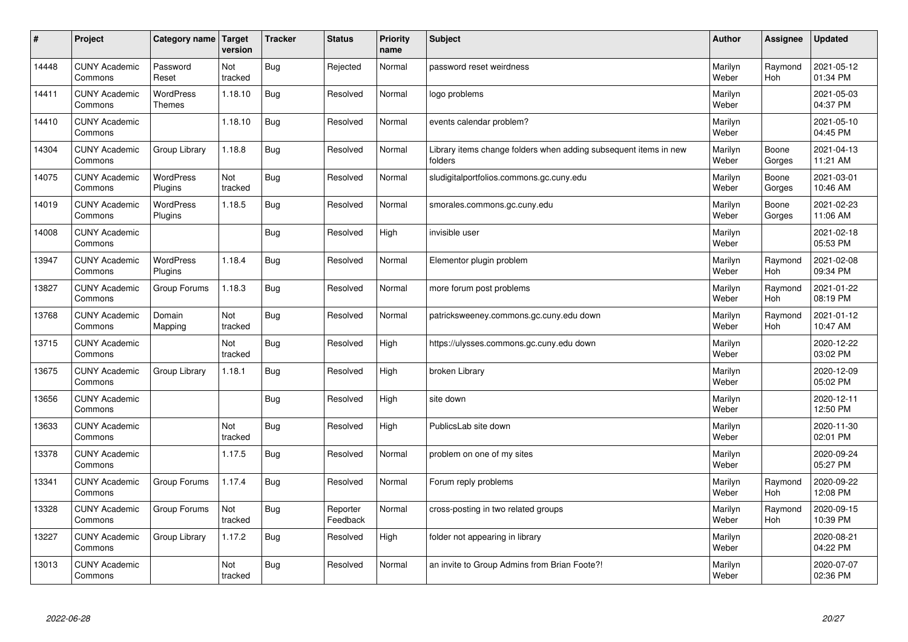| $\sharp$ | Project                         | Category name   Target      | version        | <b>Tracker</b> | <b>Status</b>        | <b>Priority</b><br>name | <b>Subject</b>                                                              | <b>Author</b>    | Assignee              | <b>Updated</b>         |
|----------|---------------------------------|-----------------------------|----------------|----------------|----------------------|-------------------------|-----------------------------------------------------------------------------|------------------|-----------------------|------------------------|
| 14448    | <b>CUNY Academic</b><br>Commons | Password<br>Reset           | Not<br>tracked | Bug            | Rejected             | Normal                  | password reset weirdness                                                    | Marilyn<br>Weber | Raymond<br><b>Hoh</b> | 2021-05-12<br>01:34 PM |
| 14411    | <b>CUNY Academic</b><br>Commons | <b>WordPress</b><br>Themes  | 1.18.10        | Bug            | Resolved             | Normal                  | logo problems                                                               | Marilyn<br>Weber |                       | 2021-05-03<br>04:37 PM |
| 14410    | <b>CUNY Academic</b><br>Commons |                             | 1.18.10        | Bug            | Resolved             | Normal                  | events calendar problem?                                                    | Marilyn<br>Weber |                       | 2021-05-10<br>04:45 PM |
| 14304    | <b>CUNY Academic</b><br>Commons | Group Library               | 1.18.8         | Bug            | Resolved             | Normal                  | Library items change folders when adding subsequent items in new<br>folders | Marilyn<br>Weber | Boone<br>Gorges       | 2021-04-13<br>11:21 AM |
| 14075    | <b>CUNY Academic</b><br>Commons | <b>WordPress</b><br>Plugins | Not<br>tracked | Bug            | Resolved             | Normal                  | sludigitalportfolios.commons.gc.cuny.edu                                    | Marilyn<br>Weber | Boone<br>Gorges       | 2021-03-01<br>10:46 AM |
| 14019    | <b>CUNY Academic</b><br>Commons | WordPress<br>Plugins        | 1.18.5         | Bug            | Resolved             | Normal                  | smorales.commons.gc.cuny.edu                                                | Marilyn<br>Weber | Boone<br>Gorges       | 2021-02-23<br>11:06 AM |
| 14008    | <b>CUNY Academic</b><br>Commons |                             |                | Bug            | Resolved             | High                    | invisible user                                                              | Marilyn<br>Weber |                       | 2021-02-18<br>05:53 PM |
| 13947    | <b>CUNY Academic</b><br>Commons | WordPress<br>Plugins        | 1.18.4         | Bug            | Resolved             | Normal                  | Elementor plugin problem                                                    | Marilyn<br>Weber | Raymond<br>Hoh        | 2021-02-08<br>09:34 PM |
| 13827    | <b>CUNY Academic</b><br>Commons | Group Forums                | 1.18.3         | Bug            | Resolved             | Normal                  | more forum post problems                                                    | Marilyn<br>Weber | Raymond<br><b>Hoh</b> | 2021-01-22<br>08:19 PM |
| 13768    | <b>CUNY Academic</b><br>Commons | Domain<br>Mapping           | Not<br>tracked | Bug            | Resolved             | Normal                  | patricksweeney.commons.gc.cuny.edu down                                     | Marilyn<br>Weber | Raymond<br><b>Hoh</b> | 2021-01-12<br>10:47 AM |
| 13715    | <b>CUNY Academic</b><br>Commons |                             | Not<br>tracked | Bug            | Resolved             | High                    | https://ulysses.commons.gc.cuny.edu down                                    | Marilyn<br>Weber |                       | 2020-12-22<br>03:02 PM |
| 13675    | <b>CUNY Academic</b><br>Commons | Group Library               | 1.18.1         | Bug            | Resolved             | High                    | broken Library                                                              | Marilyn<br>Weber |                       | 2020-12-09<br>05:02 PM |
| 13656    | <b>CUNY Academic</b><br>Commons |                             |                | Bug            | Resolved             | High                    | site down                                                                   | Marilyn<br>Weber |                       | 2020-12-11<br>12:50 PM |
| 13633    | <b>CUNY Academic</b><br>Commons |                             | Not<br>tracked | Bug            | Resolved             | High                    | PublicsLab site down                                                        | Marilyn<br>Weber |                       | 2020-11-30<br>02:01 PM |
| 13378    | <b>CUNY Academic</b><br>Commons |                             | 1.17.5         | Bug            | Resolved             | Normal                  | problem on one of my sites                                                  | Marilyn<br>Weber |                       | 2020-09-24<br>05:27 PM |
| 13341    | <b>CUNY Academic</b><br>Commons | Group Forums                | 1.17.4         | Bug            | Resolved             | Normal                  | Forum reply problems                                                        | Marilyn<br>Weber | Raymond<br>Hoh        | 2020-09-22<br>12:08 PM |
| 13328    | <b>CUNY Academic</b><br>Commons | Group Forums                | Not<br>tracked | Bug            | Reporter<br>Feedback | Normal                  | cross-posting in two related groups                                         | Marilyn<br>Weber | Raymond<br><b>Hoh</b> | 2020-09-15<br>10:39 PM |
| 13227    | <b>CUNY Academic</b><br>Commons | Group Library               | 1.17.2         | Bug            | Resolved             | High                    | folder not appearing in library                                             | Marilyn<br>Weber |                       | 2020-08-21<br>04:22 PM |
| 13013    | <b>CUNY Academic</b><br>Commons |                             | Not<br>tracked | Bug            | Resolved             | Normal                  | an invite to Group Admins from Brian Foote?!                                | Marilyn<br>Weber |                       | 2020-07-07<br>02:36 PM |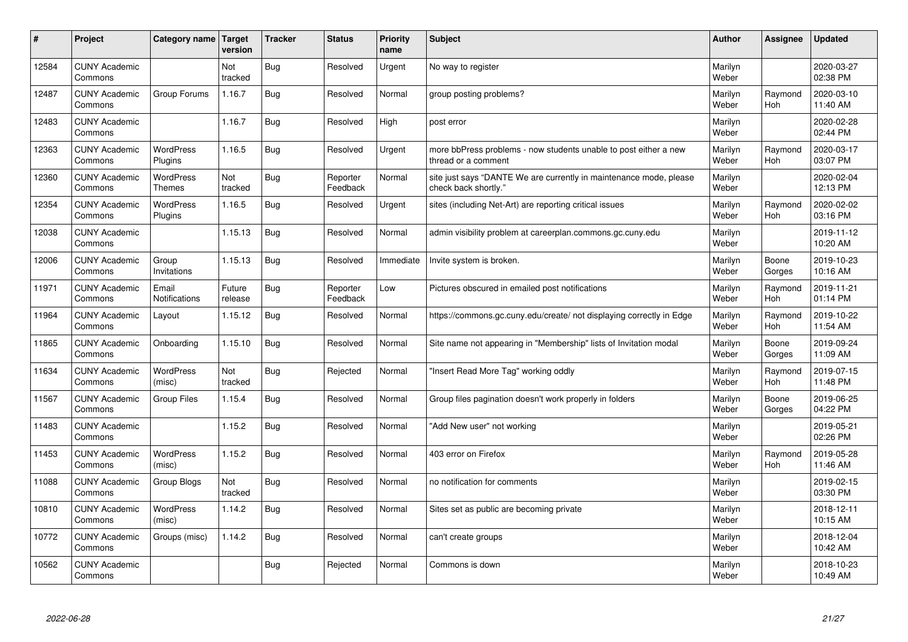| $\sharp$ | Project                         | Category name   Target            | version           | <b>Tracker</b> | <b>Status</b>        | <b>Priority</b><br>name | <b>Subject</b>                                                                             | <b>Author</b>    | Assignee              | <b>Updated</b>         |
|----------|---------------------------------|-----------------------------------|-------------------|----------------|----------------------|-------------------------|--------------------------------------------------------------------------------------------|------------------|-----------------------|------------------------|
| 12584    | <b>CUNY Academic</b><br>Commons |                                   | Not<br>tracked    | Bug            | Resolved             | Urgent                  | No way to register                                                                         | Marilyn<br>Weber |                       | 2020-03-27<br>02:38 PM |
| 12487    | <b>CUNY Academic</b><br>Commons | Group Forums                      | 1.16.7            | Bug            | Resolved             | Normal                  | group posting problems?                                                                    | Marilyn<br>Weber | Raymond<br><b>Hoh</b> | 2020-03-10<br>11:40 AM |
| 12483    | <b>CUNY Academic</b><br>Commons |                                   | 1.16.7            | <b>Bug</b>     | Resolved             | High                    | post error                                                                                 | Marilyn<br>Weber |                       | 2020-02-28<br>02:44 PM |
| 12363    | <b>CUNY Academic</b><br>Commons | <b>WordPress</b><br>Plugins       | 1.16.5            | Bug            | Resolved             | Urgent                  | more bbPress problems - now students unable to post either a new<br>thread or a comment    | Marilyn<br>Weber | Raymond<br>Hoh        | 2020-03-17<br>03:07 PM |
| 12360    | <b>CUNY Academic</b><br>Commons | <b>WordPress</b><br><b>Themes</b> | Not<br>tracked    | <b>Bug</b>     | Reporter<br>Feedback | Normal                  | site just says "DANTE We are currently in maintenance mode, please<br>check back shortly." | Marilyn<br>Weber |                       | 2020-02-04<br>12:13 PM |
| 12354    | <b>CUNY Academic</b><br>Commons | <b>WordPress</b><br>Plugins       | 1.16.5            | Bug            | Resolved             | Urgent                  | sites (including Net-Art) are reporting critical issues                                    | Marilyn<br>Weber | Raymond<br>Hoh        | 2020-02-02<br>03:16 PM |
| 12038    | <b>CUNY Academic</b><br>Commons |                                   | 1.15.13           | Bug            | Resolved             | Normal                  | admin visibility problem at careerplan.commons.gc.cuny.edu                                 | Marilyn<br>Weber |                       | 2019-11-12<br>10:20 AM |
| 12006    | <b>CUNY Academic</b><br>Commons | Group<br>Invitations              | 1.15.13           | <b>Bug</b>     | Resolved             | Immediate               | Invite system is broken.                                                                   | Marilyn<br>Weber | Boone<br>Gorges       | 2019-10-23<br>10:16 AM |
| 11971    | <b>CUNY Academic</b><br>Commons | Email<br>Notifications            | Future<br>release | <b>Bug</b>     | Reporter<br>Feedback | Low                     | Pictures obscured in emailed post notifications                                            | Marilyn<br>Weber | Raymond<br>Hoh        | 2019-11-21<br>01:14 PM |
| 11964    | <b>CUNY Academic</b><br>Commons | Layout                            | 1.15.12           | Bug            | Resolved             | Normal                  | https://commons.gc.cuny.edu/create/ not displaying correctly in Edge                       | Marilyn<br>Weber | Raymond<br><b>Hoh</b> | 2019-10-22<br>11:54 AM |
| 11865    | <b>CUNY Academic</b><br>Commons | Onboarding                        | 1.15.10           | <b>Bug</b>     | Resolved             | Normal                  | Site name not appearing in "Membership" lists of Invitation modal                          | Marilyn<br>Weber | Boone<br>Gorges       | 2019-09-24<br>11:09 AM |
| 11634    | <b>CUNY Academic</b><br>Commons | <b>WordPress</b><br>(misc)        | Not<br>tracked    | <b>Bug</b>     | Rejected             | Normal                  | 'Insert Read More Tag" working oddly                                                       | Marilyn<br>Weber | Raymond<br><b>Hoh</b> | 2019-07-15<br>11:48 PM |
| 11567    | <b>CUNY Academic</b><br>Commons | <b>Group Files</b>                | 1.15.4            | Bug            | Resolved             | Normal                  | Group files pagination doesn't work properly in folders                                    | Marilyn<br>Weber | Boone<br>Gorges       | 2019-06-25<br>04:22 PM |
| 11483    | <b>CUNY Academic</b><br>Commons |                                   | 1.15.2            | Bug            | Resolved             | Normal                  | "Add New user" not working                                                                 | Marilyn<br>Weber |                       | 2019-05-21<br>02:26 PM |
| 11453    | <b>CUNY Academic</b><br>Commons | WordPress<br>(misc)               | 1.15.2            | <b>Bug</b>     | Resolved             | Normal                  | 403 error on Firefox                                                                       | Marilyn<br>Weber | Raymond<br><b>Hoh</b> | 2019-05-28<br>11:46 AM |
| 11088    | <b>CUNY Academic</b><br>Commons | Group Blogs                       | Not<br>tracked    | Bug            | Resolved             | Normal                  | no notification for comments                                                               | Marilyn<br>Weber |                       | 2019-02-15<br>03:30 PM |
| 10810    | <b>CUNY Academic</b><br>Commons | WordPress<br>(misc)               | 1.14.2            | Bug            | Resolved             | Normal                  | Sites set as public are becoming private                                                   | Marilyn<br>Weber |                       | 2018-12-11<br>10:15 AM |
| 10772    | <b>CUNY Academic</b><br>Commons | Groups (misc)                     | 1.14.2            | Bug            | Resolved             | Normal                  | can't create groups                                                                        | Marilyn<br>Weber |                       | 2018-12-04<br>10:42 AM |
| 10562    | <b>CUNY Academic</b><br>Commons |                                   |                   | <b>Bug</b>     | Rejected             | Normal                  | Commons is down                                                                            | Marilyn<br>Weber |                       | 2018-10-23<br>10:49 AM |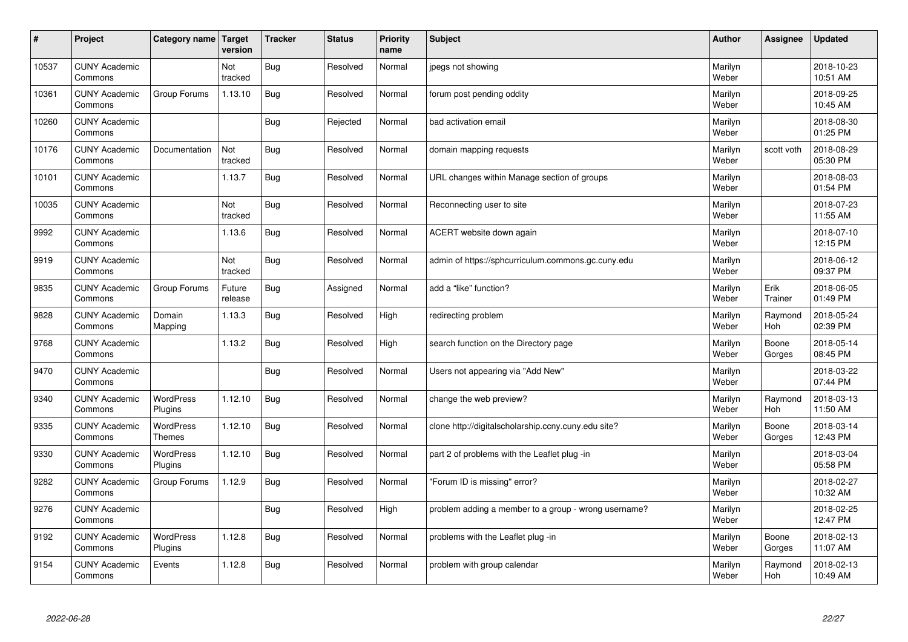| $\sharp$ | Project                         | Category name   Target            | version           | <b>Tracker</b> | <b>Status</b> | <b>Priority</b><br>name | <b>Subject</b>                                       | <b>Author</b>    | Assignee              | <b>Updated</b>         |
|----------|---------------------------------|-----------------------------------|-------------------|----------------|---------------|-------------------------|------------------------------------------------------|------------------|-----------------------|------------------------|
| 10537    | <b>CUNY Academic</b><br>Commons |                                   | Not<br>tracked    | Bug            | Resolved      | Normal                  | jpegs not showing                                    | Marilyn<br>Weber |                       | 2018-10-23<br>10:51 AM |
| 10361    | <b>CUNY Academic</b><br>Commons | Group Forums                      | 1.13.10           | Bug            | Resolved      | Normal                  | forum post pending oddity                            | Marilyn<br>Weber |                       | 2018-09-25<br>10:45 AM |
| 10260    | <b>CUNY Academic</b><br>Commons |                                   |                   | Bug            | Rejected      | Normal                  | bad activation email                                 | Marilyn<br>Weber |                       | 2018-08-30<br>01:25 PM |
| 10176    | <b>CUNY Academic</b><br>Commons | Documentation                     | Not<br>tracked    | <b>Bug</b>     | Resolved      | Normal                  | domain mapping requests                              | Marilyn<br>Weber | scott voth            | 2018-08-29<br>05:30 PM |
| 10101    | <b>CUNY Academic</b><br>Commons |                                   | 1.13.7            | Bug            | Resolved      | Normal                  | URL changes within Manage section of groups          | Marilyn<br>Weber |                       | 2018-08-03<br>01:54 PM |
| 10035    | <b>CUNY Academic</b><br>Commons |                                   | Not<br>tracked    | Bug            | Resolved      | Normal                  | Reconnecting user to site                            | Marilyn<br>Weber |                       | 2018-07-23<br>11:55 AM |
| 9992     | <b>CUNY Academic</b><br>Commons |                                   | 1.13.6            | Bug            | Resolved      | Normal                  | ACERT website down again                             | Marilyn<br>Weber |                       | 2018-07-10<br>12:15 PM |
| 9919     | <b>CUNY Academic</b><br>Commons |                                   | Not<br>tracked    | Bug            | Resolved      | Normal                  | admin of https://sphcurriculum.commons.gc.cuny.edu   | Marilyn<br>Weber |                       | 2018-06-12<br>09:37 PM |
| 9835     | <b>CUNY Academic</b><br>Commons | Group Forums                      | Future<br>release | Bug            | Assigned      | Normal                  | add a "like" function?                               | Marilyn<br>Weber | Erik<br>Trainer       | 2018-06-05<br>01:49 PM |
| 9828     | <b>CUNY Academic</b><br>Commons | Domain<br>Mapping                 | 1.13.3            | Bug            | Resolved      | High                    | redirecting problem                                  | Marilyn<br>Weber | Raymond<br>Hoh        | 2018-05-24<br>02:39 PM |
| 9768     | <b>CUNY Academic</b><br>Commons |                                   | 1.13.2            | Bug            | Resolved      | High                    | search function on the Directory page                | Marilyn<br>Weber | Boone<br>Gorges       | 2018-05-14<br>08:45 PM |
| 9470     | <b>CUNY Academic</b><br>Commons |                                   |                   | Bug            | Resolved      | Normal                  | Users not appearing via "Add New"                    | Marilyn<br>Weber |                       | 2018-03-22<br>07:44 PM |
| 9340     | <b>CUNY Academic</b><br>Commons | WordPress<br>Plugins              | 1.12.10           | Bug            | Resolved      | Normal                  | change the web preview?                              | Marilyn<br>Weber | Raymond<br>Hoh        | 2018-03-13<br>11:50 AM |
| 9335     | <b>CUNY Academic</b><br>Commons | <b>WordPress</b><br><b>Themes</b> | 1.12.10           | Bug            | Resolved      | Normal                  | clone http://digitalscholarship.ccny.cuny.edu site?  | Marilyn<br>Weber | Boone<br>Gorges       | 2018-03-14<br>12:43 PM |
| 9330     | <b>CUNY Academic</b><br>Commons | <b>WordPress</b><br>Plugins       | 1.12.10           | Bug            | Resolved      | Normal                  | part 2 of problems with the Leaflet plug -in         | Marilyn<br>Weber |                       | 2018-03-04<br>05:58 PM |
| 9282     | <b>CUNY Academic</b><br>Commons | Group Forums                      | 1.12.9            | Bug            | Resolved      | Normal                  | "Forum ID is missing" error?                         | Marilyn<br>Weber |                       | 2018-02-27<br>10:32 AM |
| 9276     | <b>CUNY Academic</b><br>Commons |                                   |                   | Bug            | Resolved      | High                    | problem adding a member to a group - wrong username? | Marilyn<br>Weber |                       | 2018-02-25<br>12:47 PM |
| 9192     | <b>CUNY Academic</b><br>Commons | <b>WordPress</b><br>Plugins       | 1.12.8            | Bug            | Resolved      | Normal                  | problems with the Leaflet plug -in                   | Marilyn<br>Weber | Boone<br>Gorges       | 2018-02-13<br>11:07 AM |
| 9154     | <b>CUNY Academic</b><br>Commons | Events                            | 1.12.8            | <b>Bug</b>     | Resolved      | Normal                  | problem with group calendar                          | Marilyn<br>Weber | Raymond<br><b>Hoh</b> | 2018-02-13<br>10:49 AM |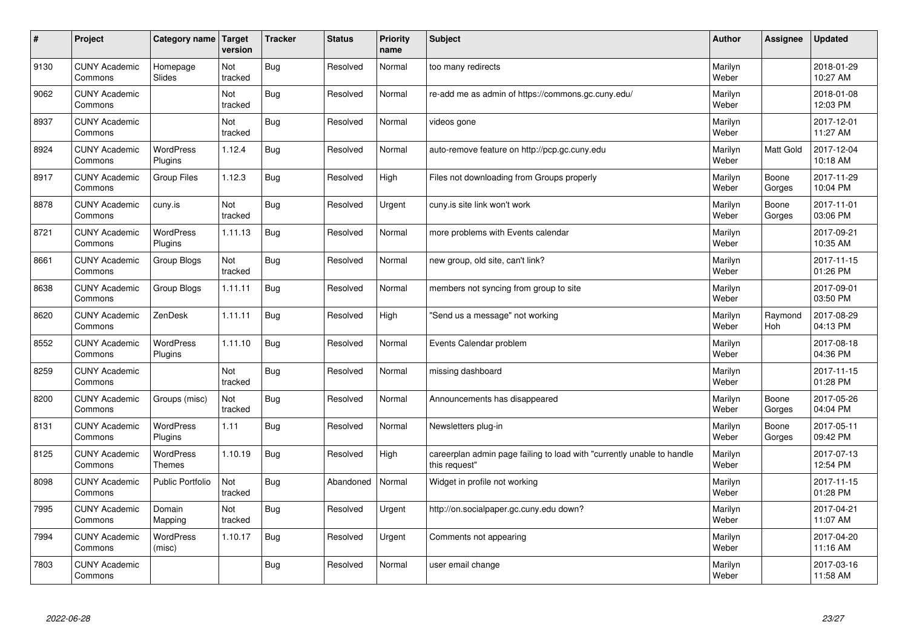| $\sharp$ | Project                         | Category name   Target            | version        | <b>Tracker</b> | <b>Status</b> | <b>Priority</b><br>name | <b>Subject</b>                                                                          | <b>Author</b>    | Assignee        | <b>Updated</b>         |
|----------|---------------------------------|-----------------------------------|----------------|----------------|---------------|-------------------------|-----------------------------------------------------------------------------------------|------------------|-----------------|------------------------|
| 9130     | <b>CUNY Academic</b><br>Commons | Homepage<br>Slides                | Not<br>tracked | Bug            | Resolved      | Normal                  | too many redirects                                                                      | Marilyn<br>Weber |                 | 2018-01-29<br>10:27 AM |
| 9062     | <b>CUNY Academic</b><br>Commons |                                   | Not<br>tracked | Bug            | Resolved      | Normal                  | re-add me as admin of https://commons.gc.cuny.edu/                                      | Marilyn<br>Weber |                 | 2018-01-08<br>12:03 PM |
| 8937     | <b>CUNY Academic</b><br>Commons |                                   | Not<br>tracked | Bug            | Resolved      | Normal                  | videos gone                                                                             | Marilyn<br>Weber |                 | 2017-12-01<br>11:27 AM |
| 8924     | <b>CUNY Academic</b><br>Commons | <b>WordPress</b><br>Plugins       | 1.12.4         | Bug            | Resolved      | Normal                  | auto-remove feature on http://pcp.gc.cuny.edu                                           | Marilyn<br>Weber | Matt Gold       | 2017-12-04<br>10:18 AM |
| 8917     | <b>CUNY Academic</b><br>Commons | <b>Group Files</b>                | 1.12.3         | Bug            | Resolved      | High                    | Files not downloading from Groups properly                                              | Marilyn<br>Weber | Boone<br>Gorges | 2017-11-29<br>10:04 PM |
| 8878     | <b>CUNY Academic</b><br>Commons | cuny.is                           | Not<br>tracked | Bug            | Resolved      | Urgent                  | cuny.is site link won't work                                                            | Marilyn<br>Weber | Boone<br>Gorges | 2017-11-01<br>03:06 PM |
| 8721     | <b>CUNY Academic</b><br>Commons | WordPress<br>Plugins              | 1.11.13        | Bug            | Resolved      | Normal                  | more problems with Events calendar                                                      | Marilyn<br>Weber |                 | 2017-09-21<br>10:35 AM |
| 8661     | <b>CUNY Academic</b><br>Commons | Group Blogs                       | Not<br>tracked | Bug            | Resolved      | Normal                  | new group, old site, can't link?                                                        | Marilyn<br>Weber |                 | 2017-11-15<br>01:26 PM |
| 8638     | <b>CUNY Academic</b><br>Commons | Group Blogs                       | 1.11.11        | Bug            | Resolved      | Normal                  | members not syncing from group to site                                                  | Marilyn<br>Weber |                 | 2017-09-01<br>03:50 PM |
| 8620     | <b>CUNY Academic</b><br>Commons | ZenDesk                           | 1.11.11        | Bug            | Resolved      | High                    | 'Send us a message" not working                                                         | Marilyn<br>Weber | Raymond<br>Hoh  | 2017-08-29<br>04:13 PM |
| 8552     | <b>CUNY Academic</b><br>Commons | WordPress<br>Plugins              | 1.11.10        | <b>Bug</b>     | Resolved      | Normal                  | Events Calendar problem                                                                 | Marilyn<br>Weber |                 | 2017-08-18<br>04:36 PM |
| 8259     | <b>CUNY Academic</b><br>Commons |                                   | Not<br>tracked | Bug            | Resolved      | Normal                  | missing dashboard                                                                       | Marilyn<br>Weber |                 | 2017-11-15<br>01:28 PM |
| 8200     | <b>CUNY Academic</b><br>Commons | Groups (misc)                     | Not<br>tracked | Bug            | Resolved      | Normal                  | Announcements has disappeared                                                           | Marilyn<br>Weber | Boone<br>Gorges | 2017-05-26<br>04:04 PM |
| 8131     | <b>CUNY Academic</b><br>Commons | WordPress<br>Plugins              | 1.11           | Bug            | Resolved      | Normal                  | Newsletters plug-in                                                                     | Marilyn<br>Weber | Boone<br>Gorges | 2017-05-11<br>09:42 PM |
| 8125     | <b>CUNY Academic</b><br>Commons | <b>WordPress</b><br><b>Themes</b> | 1.10.19        | Bug            | Resolved      | High                    | careerplan admin page failing to load with "currently unable to handle<br>this request" | Marilyn<br>Weber |                 | 2017-07-13<br>12:54 PM |
| 8098     | <b>CUNY Academic</b><br>Commons | <b>Public Portfolio</b>           | Not<br>tracked | Bug            | Abandoned     | Normal                  | Widget in profile not working                                                           | Marilyn<br>Weber |                 | 2017-11-15<br>01:28 PM |
| 7995     | <b>CUNY Academic</b><br>Commons | Domain<br>Mapping                 | Not<br>tracked | Bug            | Resolved      | Urgent                  | http://on.socialpaper.gc.cuny.edu down?                                                 | Marilyn<br>Weber |                 | 2017-04-21<br>11:07 AM |
| 7994     | <b>CUNY Academic</b><br>Commons | WordPress<br>(misc)               | 1.10.17        | Bug            | Resolved      | Urgent                  | Comments not appearing                                                                  | Marilyn<br>Weber |                 | 2017-04-20<br>11:16 AM |
| 7803     | <b>CUNY Academic</b><br>Commons |                                   |                | Bug            | Resolved      | Normal                  | user email change                                                                       | Marilyn<br>Weber |                 | 2017-03-16<br>11:58 AM |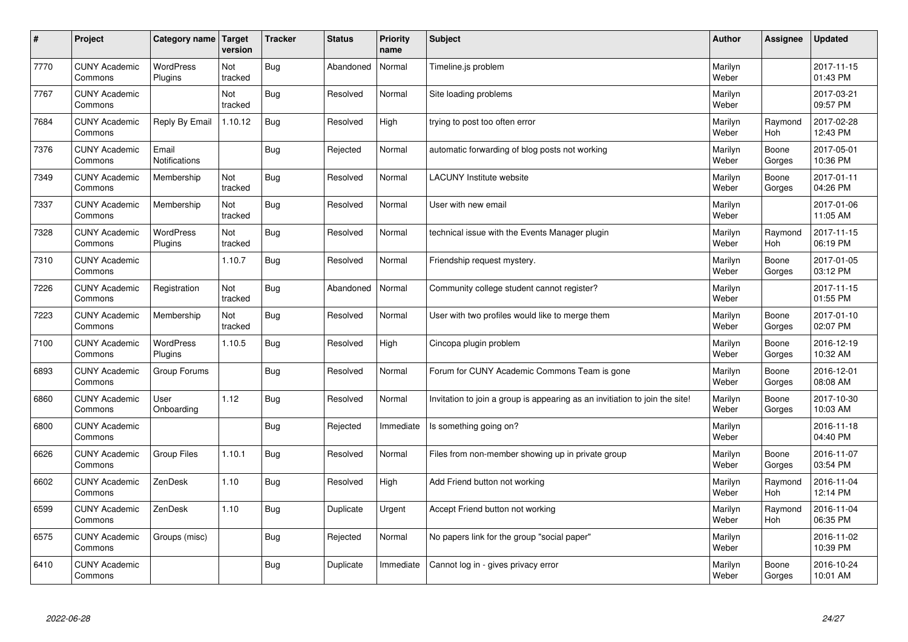| $\sharp$ | Project                         | Category name   Target      | version        | <b>Tracker</b> | <b>Status</b> | <b>Priority</b><br>name | <b>Subject</b>                                                              | <b>Author</b>    | Assignee              | <b>Updated</b>         |
|----------|---------------------------------|-----------------------------|----------------|----------------|---------------|-------------------------|-----------------------------------------------------------------------------|------------------|-----------------------|------------------------|
| 7770     | <b>CUNY Academic</b><br>Commons | <b>WordPress</b><br>Plugins | Not<br>tracked | Bug            | Abandoned     | Normal                  | Timeline.js problem                                                         | Marilyn<br>Weber |                       | 2017-11-15<br>01:43 PM |
| 7767     | <b>CUNY Academic</b><br>Commons |                             | Not<br>tracked | Bug            | Resolved      | Normal                  | Site loading problems                                                       | Marilyn<br>Weber |                       | 2017-03-21<br>09:57 PM |
| 7684     | <b>CUNY Academic</b><br>Commons | Reply By Email              | 1.10.12        | Bug            | Resolved      | High                    | trying to post too often error                                              | Marilyn<br>Weber | Raymond<br><b>Hoh</b> | 2017-02-28<br>12:43 PM |
| 7376     | <b>CUNY Academic</b><br>Commons | Email<br>Notifications      |                | <b>Bug</b>     | Rejected      | Normal                  | automatic forwarding of blog posts not working                              | Marilyn<br>Weber | Boone<br>Gorges       | 2017-05-01<br>10:36 PM |
| 7349     | <b>CUNY Academic</b><br>Commons | Membership                  | Not<br>tracked | Bug            | Resolved      | Normal                  | <b>LACUNY Institute website</b>                                             | Marilyn<br>Weber | Boone<br>Gorges       | 2017-01-11<br>04:26 PM |
| 7337     | <b>CUNY Academic</b><br>Commons | Membership                  | Not<br>tracked | Bug            | Resolved      | Normal                  | User with new email                                                         | Marilyn<br>Weber |                       | 2017-01-06<br>11:05 AM |
| 7328     | <b>CUNY Academic</b><br>Commons | WordPress<br>Plugins        | Not<br>tracked | Bug            | Resolved      | Normal                  | technical issue with the Events Manager plugin                              | Marilyn<br>Weber | Raymond<br>Hoh        | 2017-11-15<br>06:19 PM |
| 7310     | <b>CUNY Academic</b><br>Commons |                             | 1.10.7         | Bug            | Resolved      | Normal                  | Friendship request mystery.                                                 | Marilyn<br>Weber | Boone<br>Gorges       | 2017-01-05<br>03:12 PM |
| 7226     | <b>CUNY Academic</b><br>Commons | Registration                | Not<br>tracked | Bug            | Abandoned     | Normal                  | Community college student cannot register?                                  | Marilyn<br>Weber |                       | 2017-11-15<br>01:55 PM |
| 7223     | <b>CUNY Academic</b><br>Commons | Membership                  | Not<br>tracked | Bug            | Resolved      | Normal                  | User with two profiles would like to merge them                             | Marilyn<br>Weber | Boone<br>Gorges       | 2017-01-10<br>02:07 PM |
| 7100     | <b>CUNY Academic</b><br>Commons | WordPress<br>Plugins        | 1.10.5         | Bug            | Resolved      | High                    | Cincopa plugin problem                                                      | Marilyn<br>Weber | Boone<br>Gorges       | 2016-12-19<br>10:32 AM |
| 6893     | <b>CUNY Academic</b><br>Commons | Group Forums                |                | <b>Bug</b>     | Resolved      | Normal                  | Forum for CUNY Academic Commons Team is gone                                | Marilyn<br>Weber | Boone<br>Gorges       | 2016-12-01<br>08:08 AM |
| 6860     | <b>CUNY Academic</b><br>Commons | User<br>Onboarding          | 1.12           | Bug            | Resolved      | Normal                  | Invitation to join a group is appearing as an invitiation to join the site! | Marilyn<br>Weber | Boone<br>Gorges       | 2017-10-30<br>10:03 AM |
| 6800     | <b>CUNY Academic</b><br>Commons |                             |                | <b>Bug</b>     | Rejected      | Immediate               | Is something going on?                                                      | Marilyn<br>Weber |                       | 2016-11-18<br>04:40 PM |
| 6626     | <b>CUNY Academic</b><br>Commons | Group Files                 | 1.10.1         | Bug            | Resolved      | Normal                  | Files from non-member showing up in private group                           | Marilyn<br>Weber | Boone<br>Gorges       | 2016-11-07<br>03:54 PM |
| 6602     | <b>CUNY Academic</b><br>Commons | ZenDesk                     | 1.10           | Bug            | Resolved      | High                    | Add Friend button not working                                               | Marilyn<br>Weber | Raymond<br>Hoh        | 2016-11-04<br>12:14 PM |
| 6599     | <b>CUNY Academic</b><br>Commons | ZenDesk                     | 1.10           | Bug            | Duplicate     | Urgent                  | Accept Friend button not working                                            | Marilyn<br>Weber | Raymond<br>Hoh        | 2016-11-04<br>06:35 PM |
| 6575     | <b>CUNY Academic</b><br>Commons | Groups (misc)               |                | <b>Bug</b>     | Rejected      | Normal                  | No papers link for the group "social paper"                                 | Marilyn<br>Weber |                       | 2016-11-02<br>10:39 PM |
| 6410     | <b>CUNY Academic</b><br>Commons |                             |                | Bug            | Duplicate     | Immediate               | Cannot log in - gives privacy error                                         | Marilyn<br>Weber | Boone<br>Gorges       | 2016-10-24<br>10:01 AM |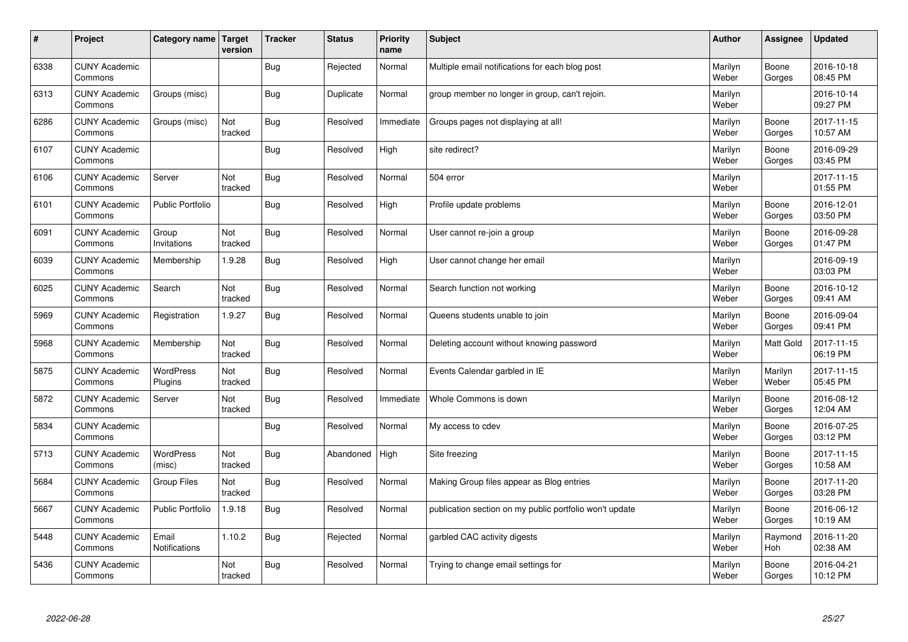| $\sharp$ | Project                         | Category name   Target        | version        | <b>Tracker</b> | <b>Status</b> | <b>Priority</b><br>name | <b>Subject</b>                                          | <b>Author</b>    | Assignee         | <b>Updated</b>         |
|----------|---------------------------------|-------------------------------|----------------|----------------|---------------|-------------------------|---------------------------------------------------------|------------------|------------------|------------------------|
| 6338     | <b>CUNY Academic</b><br>Commons |                               |                | Bug            | Rejected      | Normal                  | Multiple email notifications for each blog post         | Marilyn<br>Weber | Boone<br>Gorges  | 2016-10-18<br>08:45 PM |
| 6313     | <b>CUNY Academic</b><br>Commons | Groups (misc)                 |                | Bug            | Duplicate     | Normal                  | group member no longer in group, can't rejoin.          | Marilyn<br>Weber |                  | 2016-10-14<br>09:27 PM |
| 6286     | <b>CUNY Academic</b><br>Commons | Groups (misc)                 | Not<br>tracked | <b>Bug</b>     | Resolved      | Immediate               | Groups pages not displaying at all!                     | Marilyn<br>Weber | Boone<br>Gorges  | 2017-11-15<br>10:57 AM |
| 6107     | <b>CUNY Academic</b><br>Commons |                               |                | <b>Bug</b>     | Resolved      | High                    | site redirect?                                          | Marilyn<br>Weber | Boone<br>Gorges  | 2016-09-29<br>03:45 PM |
| 6106     | <b>CUNY Academic</b><br>Commons | Server                        | Not<br>tracked | Bug            | Resolved      | Normal                  | 504 error                                               | Marilyn<br>Weber |                  | 2017-11-15<br>01:55 PM |
| 6101     | <b>CUNY Academic</b><br>Commons | <b>Public Portfolio</b>       |                | Bug            | Resolved      | High                    | Profile update problems                                 | Marilyn<br>Weber | Boone<br>Gorges  | 2016-12-01<br>03:50 PM |
| 6091     | <b>CUNY Academic</b><br>Commons | Group<br>Invitations          | Not<br>tracked | Bug            | Resolved      | Normal                  | User cannot re-join a group                             | Marilyn<br>Weber | Boone<br>Gorges  | 2016-09-28<br>01:47 PM |
| 6039     | <b>CUNY Academic</b><br>Commons | Membership                    | 1.9.28         | Bug            | Resolved      | High                    | User cannot change her email                            | Marilyn<br>Weber |                  | 2016-09-19<br>03:03 PM |
| 6025     | <b>CUNY Academic</b><br>Commons | Search                        | Not<br>tracked | Bug            | Resolved      | Normal                  | Search function not working                             | Marilyn<br>Weber | Boone<br>Gorges  | 2016-10-12<br>09:41 AM |
| 5969     | <b>CUNY Academic</b><br>Commons | Registration                  | 1.9.27         | Bug            | Resolved      | Normal                  | Queens students unable to join                          | Marilyn<br>Weber | Boone<br>Gorges  | 2016-09-04<br>09:41 PM |
| 5968     | <b>CUNY Academic</b><br>Commons | Membership                    | Not<br>tracked | Bug            | Resolved      | Normal                  | Deleting account without knowing password               | Marilyn<br>Weber | Matt Gold        | 2017-11-15<br>06:19 PM |
| 5875     | <b>CUNY Academic</b><br>Commons | <b>WordPress</b><br>Plugins   | Not<br>tracked | Bug            | Resolved      | Normal                  | Events Calendar garbled in IE                           | Marilyn<br>Weber | Marilyn<br>Weber | 2017-11-15<br>05:45 PM |
| 5872     | <b>CUNY Academic</b><br>Commons | Server                        | Not<br>tracked | Bug            | Resolved      | Immediate               | Whole Commons is down                                   | Marilyn<br>Weber | Boone<br>Gorges  | 2016-08-12<br>12:04 AM |
| 5834     | <b>CUNY Academic</b><br>Commons |                               |                | Bug            | Resolved      | Normal                  | My access to cdev                                       | Marilyn<br>Weber | Boone<br>Gorges  | 2016-07-25<br>03:12 PM |
| 5713     | <b>CUNY Academic</b><br>Commons | WordPress<br>(misc)           | Not<br>tracked | Bug            | Abandoned     | High                    | Site freezing                                           | Marilyn<br>Weber | Boone<br>Gorges  | 2017-11-15<br>10:58 AM |
| 5684     | <b>CUNY Academic</b><br>Commons | <b>Group Files</b>            | Not<br>tracked | <b>Bug</b>     | Resolved      | Normal                  | Making Group files appear as Blog entries               | Marilyn<br>Weber | Boone<br>Gorges  | 2017-11-20<br>03:28 PM |
| 5667     | <b>CUNY Academic</b><br>Commons | <b>Public Portfolio</b>       | 1.9.18         | Bug            | Resolved      | Normal                  | publication section on my public portfolio won't update | Marilyn<br>Weber | Boone<br>Gorges  | 2016-06-12<br>10:19 AM |
| 5448     | <b>CUNY Academic</b><br>Commons | Email<br><b>Notifications</b> | 1.10.2         | Bug            | Rejected      | Normal                  | garbled CAC activity digests                            | Marilyn<br>Weber | Raymond<br>Hoh   | 2016-11-20<br>02:38 AM |
| 5436     | <b>CUNY Academic</b><br>Commons |                               | Not<br>tracked | Bug            | Resolved      | Normal                  | Trying to change email settings for                     | Marilyn<br>Weber | Boone<br>Gorges  | 2016-04-21<br>10:12 PM |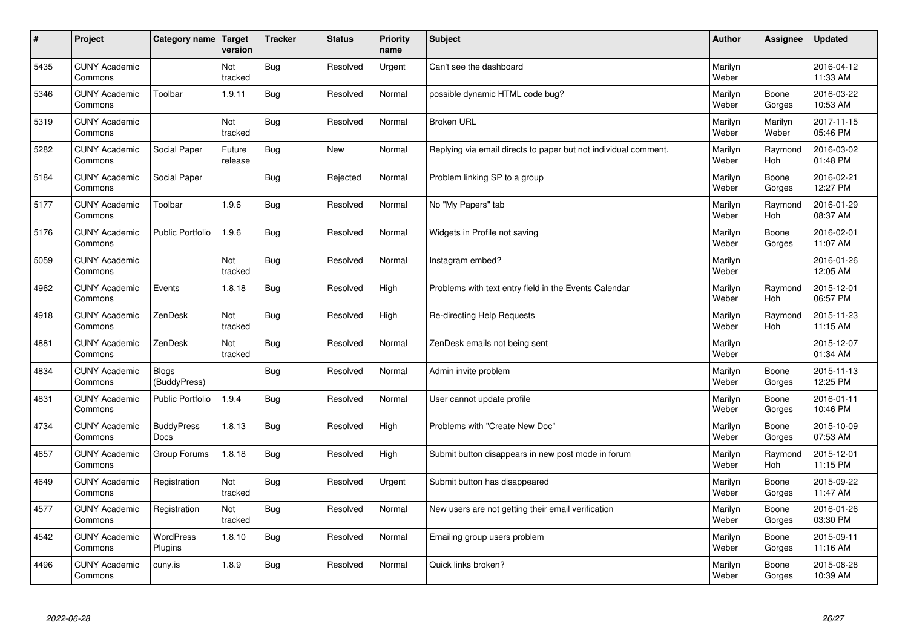| $\sharp$ | Project                         | Category name   Target           | version           | <b>Tracker</b> | <b>Status</b> | <b>Priority</b><br>name | <b>Subject</b>                                                  | <b>Author</b>    | Assignee              | <b>Updated</b>         |
|----------|---------------------------------|----------------------------------|-------------------|----------------|---------------|-------------------------|-----------------------------------------------------------------|------------------|-----------------------|------------------------|
| 5435     | <b>CUNY Academic</b><br>Commons |                                  | Not<br>tracked    | Bug            | Resolved      | Urgent                  | Can't see the dashboard                                         | Marilyn<br>Weber |                       | 2016-04-12<br>11:33 AM |
| 5346     | <b>CUNY Academic</b><br>Commons | Toolbar                          | 1.9.11            | Bug            | Resolved      | Normal                  | possible dynamic HTML code bug?                                 | Marilyn<br>Weber | Boone<br>Gorges       | 2016-03-22<br>10:53 AM |
| 5319     | <b>CUNY Academic</b><br>Commons |                                  | Not<br>tracked    | Bug            | Resolved      | Normal                  | <b>Broken URL</b>                                               | Marilyn<br>Weber | Marilyn<br>Weber      | 2017-11-15<br>05:46 PM |
| 5282     | <b>CUNY Academic</b><br>Commons | Social Paper                     | Future<br>release | <b>Bug</b>     | <b>New</b>    | Normal                  | Replying via email directs to paper but not individual comment. | Marilyn<br>Weber | Raymond<br>Hoh        | 2016-03-02<br>01:48 PM |
| 5184     | <b>CUNY Academic</b><br>Commons | Social Paper                     |                   | Bug            | Rejected      | Normal                  | Problem linking SP to a group                                   | Marilyn<br>Weber | Boone<br>Gorges       | 2016-02-21<br>12:27 PM |
| 5177     | <b>CUNY Academic</b><br>Commons | Toolbar                          | 1.9.6             | <b>Bug</b>     | Resolved      | Normal                  | No "My Papers" tab                                              | Marilyn<br>Weber | Raymond<br><b>Hoh</b> | 2016-01-29<br>08:37 AM |
| 5176     | <b>CUNY Academic</b><br>Commons | Public Portfolio                 | 1.9.6             | Bug            | Resolved      | Normal                  | Widgets in Profile not saving                                   | Marilyn<br>Weber | Boone<br>Gorges       | 2016-02-01<br>11:07 AM |
| 5059     | <b>CUNY Academic</b><br>Commons |                                  | Not<br>tracked    | <b>Bug</b>     | Resolved      | Normal                  | Instagram embed?                                                | Marilyn<br>Weber |                       | 2016-01-26<br>12:05 AM |
| 4962     | <b>CUNY Academic</b><br>Commons | Events                           | 1.8.18            | Bug            | Resolved      | High                    | Problems with text entry field in the Events Calendar           | Marilyn<br>Weber | Raymond<br>Hoh        | 2015-12-01<br>06:57 PM |
| 4918     | <b>CUNY Academic</b><br>Commons | ZenDesk                          | Not<br>tracked    | Bug            | Resolved      | High                    | Re-directing Help Requests                                      | Marilyn<br>Weber | Raymond<br><b>Hoh</b> | 2015-11-23<br>11:15 AM |
| 4881     | <b>CUNY Academic</b><br>Commons | ZenDesk                          | Not<br>tracked    | Bug            | Resolved      | Normal                  | ZenDesk emails not being sent                                   | Marilyn<br>Weber |                       | 2015-12-07<br>01:34 AM |
| 4834     | <b>CUNY Academic</b><br>Commons | <b>Blogs</b><br>(BuddyPress)     |                   | Bug            | Resolved      | Normal                  | Admin invite problem                                            | Marilyn<br>Weber | Boone<br>Gorges       | 2015-11-13<br>12:25 PM |
| 4831     | <b>CUNY Academic</b><br>Commons | <b>Public Portfolio</b>          | 1.9.4             | Bug            | Resolved      | Normal                  | User cannot update profile                                      | Marilyn<br>Weber | Boone<br>Gorges       | 2016-01-11<br>10:46 PM |
| 4734     | <b>CUNY Academic</b><br>Commons | <b>BuddyPress</b><br><b>Docs</b> | 1.8.13            | Bug            | Resolved      | High                    | Problems with "Create New Doc"                                  | Marilyn<br>Weber | Boone<br>Gorges       | 2015-10-09<br>07:53 AM |
| 4657     | <b>CUNY Academic</b><br>Commons | Group Forums                     | 1.8.18            | Bug            | Resolved      | High                    | Submit button disappears in new post mode in forum              | Marilyn<br>Weber | Raymond<br><b>Hoh</b> | 2015-12-01<br>11:15 PM |
| 4649     | <b>CUNY Academic</b><br>Commons | Registration                     | Not<br>tracked    | Bug            | Resolved      | Urgent                  | Submit button has disappeared                                   | Marilyn<br>Weber | Boone<br>Gorges       | 2015-09-22<br>11:47 AM |
| 4577     | <b>CUNY Academic</b><br>Commons | Registration                     | Not<br>tracked    | Bug            | Resolved      | Normal                  | New users are not getting their email verification              | Marilyn<br>Weber | Boone<br>Gorges       | 2016-01-26<br>03:30 PM |
| 4542     | <b>CUNY Academic</b><br>Commons | <b>WordPress</b><br>Plugins      | 1.8.10            | Bug            | Resolved      | Normal                  | Emailing group users problem                                    | Marilyn<br>Weber | Boone<br>Gorges       | 2015-09-11<br>11:16 AM |
| 4496     | <b>CUNY Academic</b><br>Commons | cuny.is                          | 1.8.9             | Bug            | Resolved      | Normal                  | Quick links broken?                                             | Marilyn<br>Weber | Boone<br>Gorges       | 2015-08-28<br>10:39 AM |